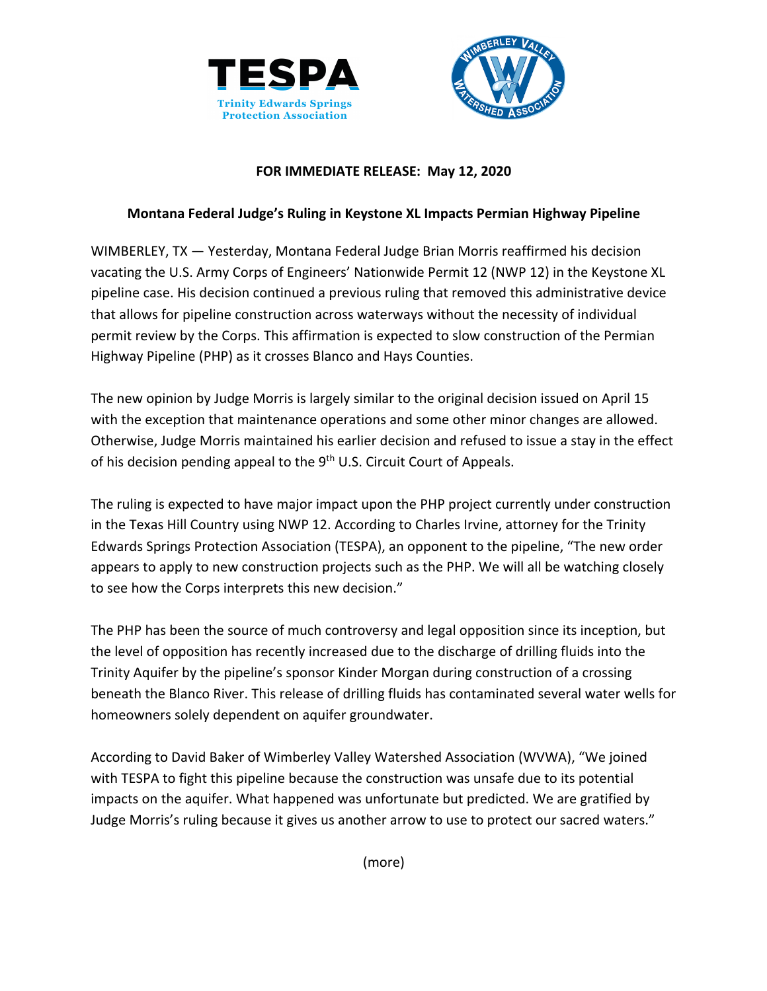



### **FOR IMMEDIATE RELEASE: May 12, 2020**

### **Montana Federal Judge's Ruling in Keystone XL Impacts Permian Highway Pipeline**

WIMBERLEY, TX — Yesterday, Montana Federal Judge Brian Morris reaffirmed his decision vacating the U.S. Army Corps of Engineers' Nationwide Permit 12 (NWP 12) in the Keystone XL pipeline case. His decision continued a previous ruling that removed this administrative device that allows for pipeline construction across waterways without the necessity of individual permit review by the Corps. This affirmation is expected to slow construction of the Permian Highway Pipeline (PHP) as it crosses Blanco and Hays Counties.

The new opinion by Judge Morris is largely similar to the original decision issued on April 15 with the exception that maintenance operations and some other minor changes are allowed. Otherwise, Judge Morris maintained his earlier decision and refused to issue a stay in the effect of his decision pending appeal to the 9<sup>th</sup> U.S. Circuit Court of Appeals.

The ruling is expected to have major impact upon the PHP project currently under construction in the Texas Hill Country using NWP 12. According to Charles Irvine, attorney for the Trinity Edwards Springs Protection Association (TESPA), an opponent to the pipeline, "The new order appears to apply to new construction projects such as the PHP. We will all be watching closely to see how the Corps interprets this new decision."

The PHP has been the source of much controversy and legal opposition since its inception, but the level of opposition has recently increased due to the discharge of drilling fluids into the Trinity Aquifer by the pipeline's sponsor Kinder Morgan during construction of a crossing beneath the Blanco River. This release of drilling fluids has contaminated several water wells for homeowners solely dependent on aquifer groundwater.

According to David Baker of Wimberley Valley Watershed Association (WVWA), "We joined with TESPA to fight this pipeline because the construction was unsafe due to its potential impacts on the aquifer. What happened was unfortunate but predicted. We are gratified by Judge Morris's ruling because it gives us another arrow to use to protect our sacred waters."

(more)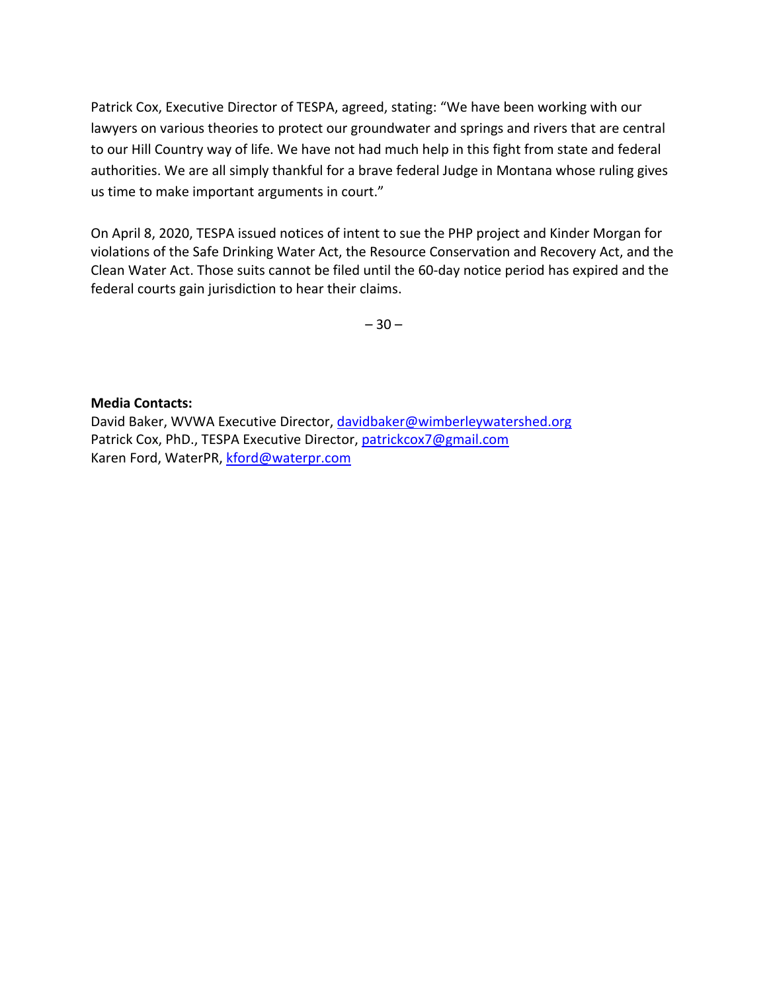Patrick Cox, Executive Director of TESPA, agreed, stating: "We have been working with our lawyers on various theories to protect our groundwater and springs and rivers that are central to our Hill Country way of life. We have not had much help in this fight from state and federal authorities. We are all simply thankful for a brave federal Judge in Montana whose ruling gives us time to make important arguments in court."

On April 8, 2020, TESPA issued notices of intent to sue the PHP project and Kinder Morgan for violations of the Safe Drinking Water Act, the Resource Conservation and Recovery Act, and the Clean Water Act. Those suits cannot be filed until the 60-day notice period has expired and the federal courts gain jurisdiction to hear their claims.

 $-30-$ 

### **Media Contacts:**

David Baker, WVWA Executive Director, davidbaker@wimberleywatershed.org Patrick Cox, PhD., TESPA Executive Director, patrickcox7@gmail.com Karen Ford, WaterPR, kford@waterpr.com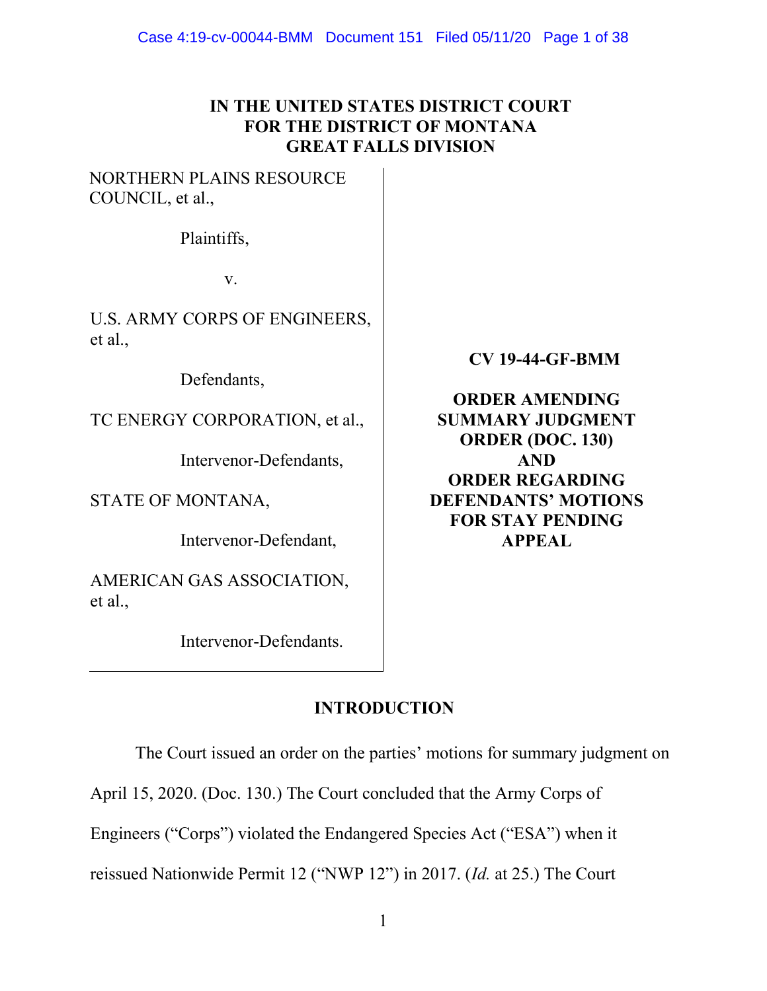# **IN THE UNITED STATES DISTRICT COURT FOR THE DISTRICT OF MONTANA GREAT FALLS DIVISION**

# NORTHERN PLAINS RESOURCE COUNCIL, et al.,

Plaintiffs,

v.

U.S. ARMY CORPS OF ENGINEERS, et al.,

Defendants,

TC ENERGY CORPORATION, et al.,

Intervenor-Defendants,

STATE OF MONTANA,

Intervenor-Defendant,

AMERICAN GAS ASSOCIATION, et al.,

Intervenor-Defendants.

**CV 19-44-GF-BMM** 

**ORDER AMENDING SUMMARY JUDGMENT ORDER (DOC. 130) AND ORDER REGARDING DEFENDANTS' MOTIONS FOR STAY PENDING APPEAL** 

# **INTRODUCTION**

The Court issued an order on the parties' motions for summary judgment on

April 15, 2020. (Doc. 130.) The Court concluded that the Army Corps of

Engineers ("Corps") violated the Endangered Species Act ("ESA") when it

reissued Nationwide Permit 12 ("NWP 12") in 2017. (*Id.* at 25.) The Court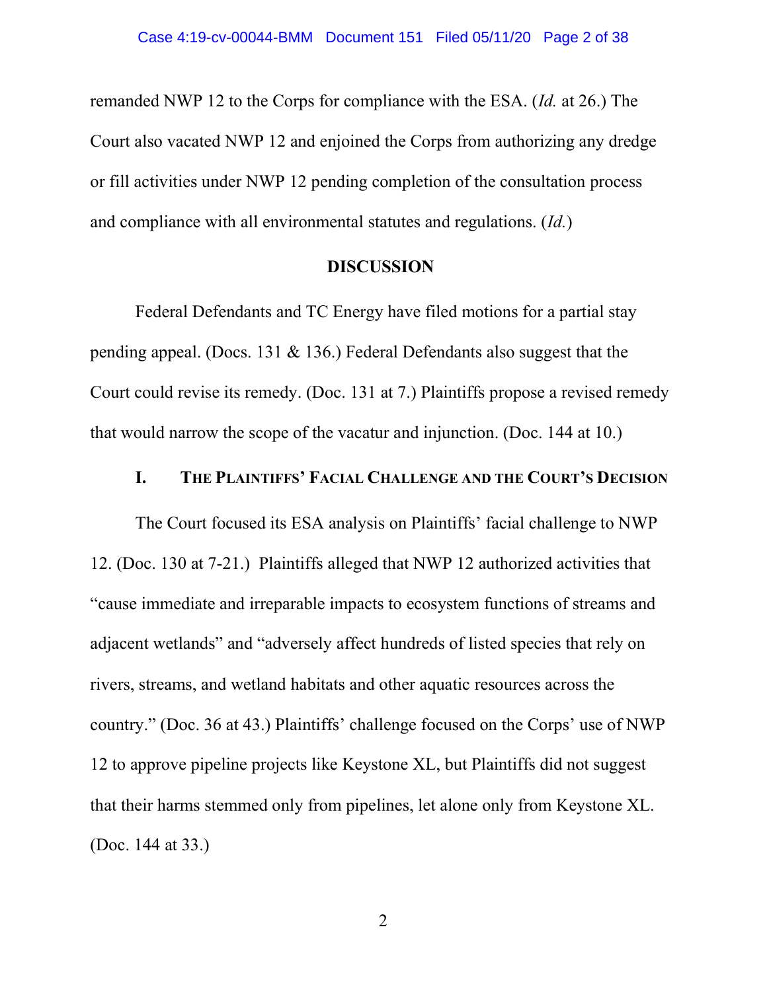remanded NWP 12 to the Corps for compliance with the ESA. (*Id.* at 26.) The Court also vacated NWP 12 and enjoined the Corps from authorizing any dredge or fill activities under NWP 12 pending completion of the consultation process and compliance with all environmental statutes and regulations. (*Id.*)

### **DISCUSSION**

Federal Defendants and TC Energy have filed motions for a partial stay pending appeal. (Docs. 131 & 136.) Federal Defendants also suggest that the Court could revise its remedy. (Doc. 131 at 7.) Plaintiffs propose a revised remedy that would narrow the scope of the vacatur and injunction. (Doc. 144 at 10.)

# **I. THE PLAINTIFFS' FACIAL CHALLENGE AND THE COURT'S DECISION**

The Court focused its ESA analysis on Plaintiffs' facial challenge to NWP 12. (Doc. 130 at 7-21.) Plaintiffs alleged that NWP 12 authorized activities that "cause immediate and irreparable impacts to ecosystem functions of streams and adjacent wetlands" and "adversely affect hundreds of listed species that rely on rivers, streams, and wetland habitats and other aquatic resources across the country." (Doc. 36 at 43.) Plaintiffs' challenge focused on the Corps' use of NWP 12 to approve pipeline projects like Keystone XL, but Plaintiffs did not suggest that their harms stemmed only from pipelines, let alone only from Keystone XL. (Doc. 144 at 33.)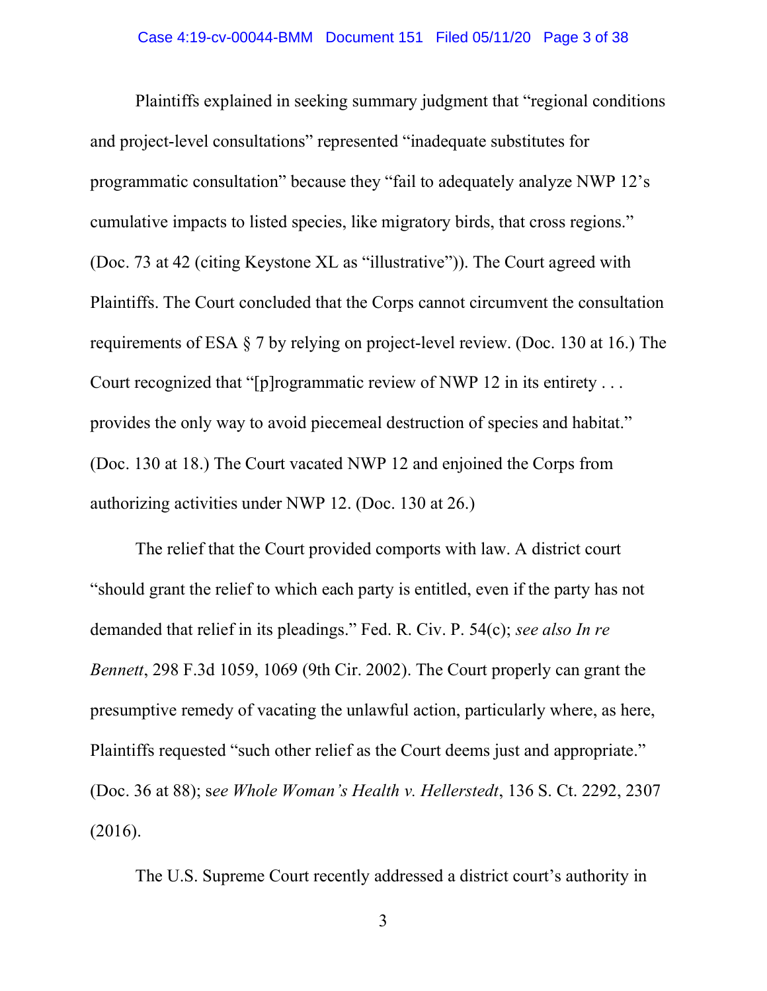Plaintiffs explained in seeking summary judgment that "regional conditions and project-level consultations" represented "inadequate substitutes for programmatic consultation" because they "fail to adequately analyze NWP 12's cumulative impacts to listed species, like migratory birds, that cross regions." (Doc. 73 at 42 (citing Keystone XL as "illustrative")). The Court agreed with Plaintiffs. The Court concluded that the Corps cannot circumvent the consultation requirements of ESA § 7 by relying on project-level review. (Doc. 130 at 16.) The Court recognized that "[p]rogrammatic review of NWP 12 in its entirety . . . provides the only way to avoid piecemeal destruction of species and habitat." (Doc. 130 at 18.) The Court vacated NWP 12 and enjoined the Corps from authorizing activities under NWP 12. (Doc. 130 at 26.)

The relief that the Court provided comports with law. A district court "should grant the relief to which each party is entitled, even if the party has not demanded that relief in its pleadings." Fed. R. Civ. P. 54(c); *see also In re Bennett*, 298 F.3d 1059, 1069 (9th Cir. 2002). The Court properly can grant the presumptive remedy of vacating the unlawful action, particularly where, as here, Plaintiffs requested "such other relief as the Court deems just and appropriate." (Doc. 36 at 88); s*ee Whole Woman's Health v. Hellerstedt*, 136 S. Ct. 2292, 2307 (2016).

The U.S. Supreme Court recently addressed a district court's authority in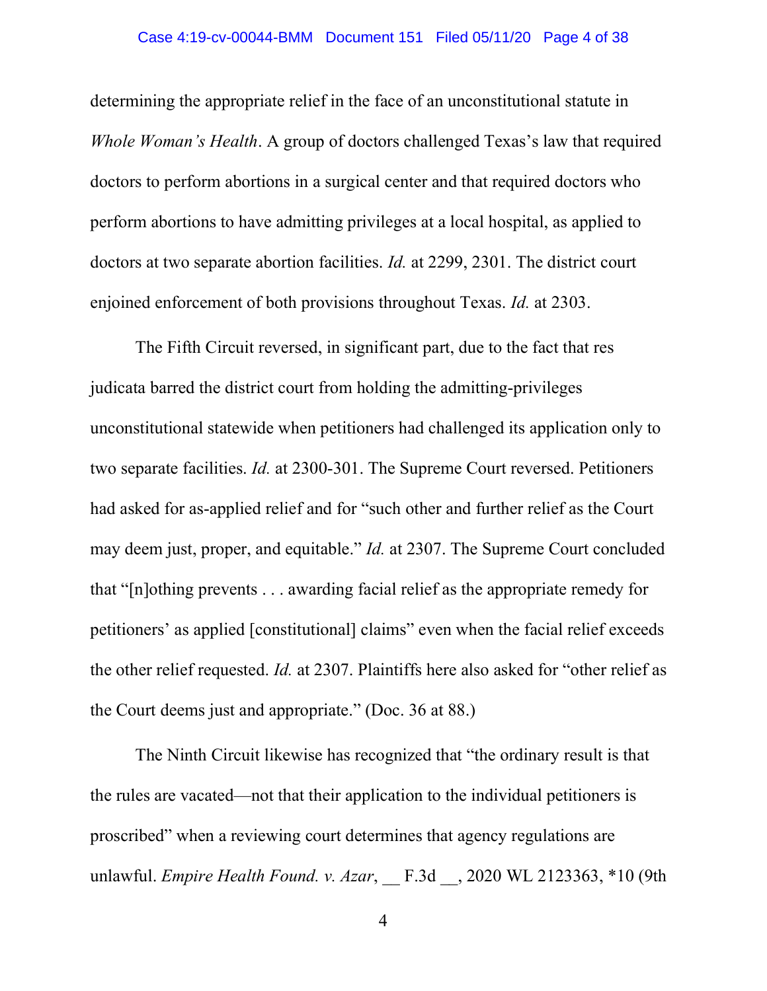### Case 4:19-cv-00044-BMM Document 151 Filed 05/11/20 Page 4 of 38

determining the appropriate relief in the face of an unconstitutional statute in *Whole Woman's Health*. A group of doctors challenged Texas's law that required doctors to perform abortions in a surgical center and that required doctors who perform abortions to have admitting privileges at a local hospital, as applied to doctors at two separate abortion facilities. *Id.* at 2299, 2301. The district court enjoined enforcement of both provisions throughout Texas. *Id.* at 2303.

The Fifth Circuit reversed, in significant part, due to the fact that res judicata barred the district court from holding the admitting-privileges unconstitutional statewide when petitioners had challenged its application only to two separate facilities. *Id.* at 2300-301. The Supreme Court reversed. Petitioners had asked for as-applied relief and for "such other and further relief as the Court may deem just, proper, and equitable." *Id.* at 2307. The Supreme Court concluded that "[n]othing prevents . . . awarding facial relief as the appropriate remedy for petitioners' as applied [constitutional] claims" even when the facial relief exceeds the other relief requested. *Id.* at 2307. Plaintiffs here also asked for "other relief as the Court deems just and appropriate." (Doc. 36 at 88.)

The Ninth Circuit likewise has recognized that "the ordinary result is that the rules are vacated—not that their application to the individual petitioners is proscribed" when a reviewing court determines that agency regulations are unlawful. *Empire Health Found. v. Azar*, \_\_ F.3d \_\_, 2020 WL 2123363, \*10 (9th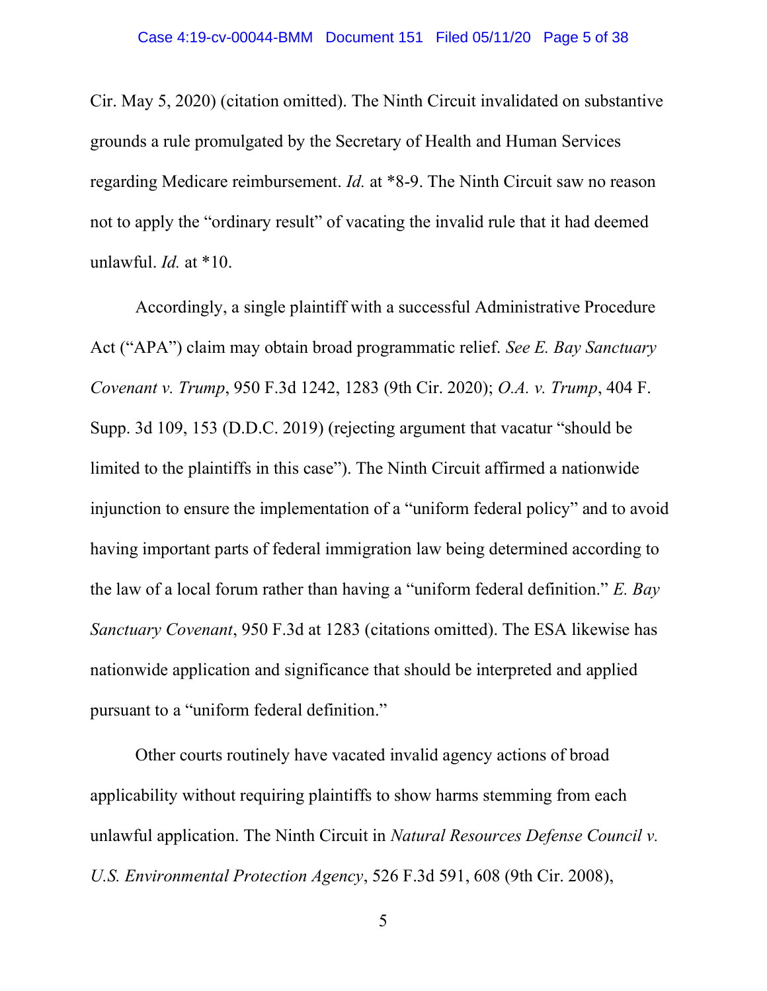Cir. May 5, 2020) (citation omitted). The Ninth Circuit invalidated on substantive grounds a rule promulgated by the Secretary of Health and Human Services regarding Medicare reimbursement. *Id.* at \*8-9. The Ninth Circuit saw no reason not to apply the "ordinary result" of vacating the invalid rule that it had deemed unlawful. *Id.* at \*10.

Accordingly, a single plaintiff with a successful Administrative Procedure Act ("APA") claim may obtain broad programmatic relief. *See E. Bay Sanctuary Covenant v. Trump*, 950 F.3d 1242, 1283 (9th Cir. 2020); *O.A. v. Trump*, 404 F. Supp. 3d 109, 153 (D.D.C. 2019) (rejecting argument that vacatur "should be limited to the plaintiffs in this case"). The Ninth Circuit affirmed a nationwide injunction to ensure the implementation of a "uniform federal policy" and to avoid having important parts of federal immigration law being determined according to the law of a local forum rather than having a "uniform federal definition." *E. Bay Sanctuary Covenant*, 950 F.3d at 1283 (citations omitted). The ESA likewise has nationwide application and significance that should be interpreted and applied pursuant to a "uniform federal definition."

Other courts routinely have vacated invalid agency actions of broad applicability without requiring plaintiffs to show harms stemming from each unlawful application. The Ninth Circuit in *Natural Resources Defense Council v. U.S. Environmental Protection Agency*, 526 F.3d 591, 608 (9th Cir. 2008),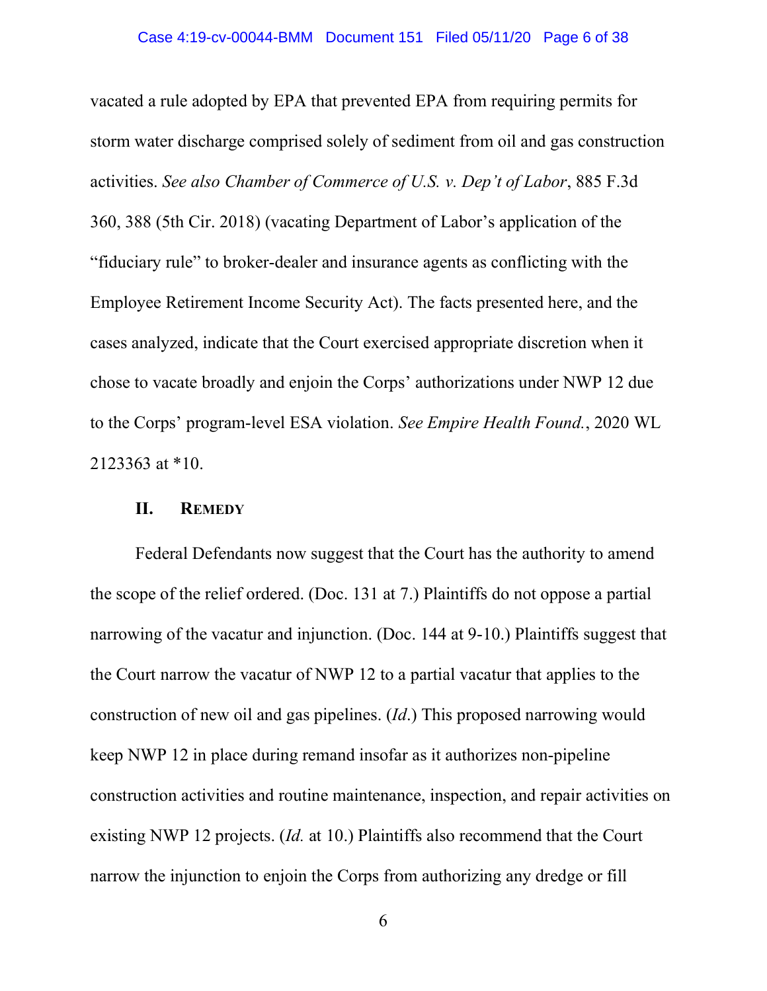vacated a rule adopted by EPA that prevented EPA from requiring permits for storm water discharge comprised solely of sediment from oil and gas construction activities. *See also Chamber of Commerce of U.S. v. Dep't of Labor*, 885 F.3d 360, 388 (5th Cir. 2018) (vacating Department of Labor's application of the "fiduciary rule" to broker-dealer and insurance agents as conflicting with the Employee Retirement Income Security Act). The facts presented here, and the cases analyzed, indicate that the Court exercised appropriate discretion when it chose to vacate broadly and enjoin the Corps' authorizations under NWP 12 due to the Corps' program-level ESA violation. *See Empire Health Found.*, 2020 WL 2123363 at \*10.

### **II. REMEDY**

Federal Defendants now suggest that the Court has the authority to amend the scope of the relief ordered. (Doc. 131 at 7.) Plaintiffs do not oppose a partial narrowing of the vacatur and injunction. (Doc. 144 at 9-10.) Plaintiffs suggest that the Court narrow the vacatur of NWP 12 to a partial vacatur that applies to the construction of new oil and gas pipelines. (*Id*.) This proposed narrowing would keep NWP 12 in place during remand insofar as it authorizes non-pipeline construction activities and routine maintenance, inspection, and repair activities on existing NWP 12 projects. (*Id.* at 10.) Plaintiffs also recommend that the Court narrow the injunction to enjoin the Corps from authorizing any dredge or fill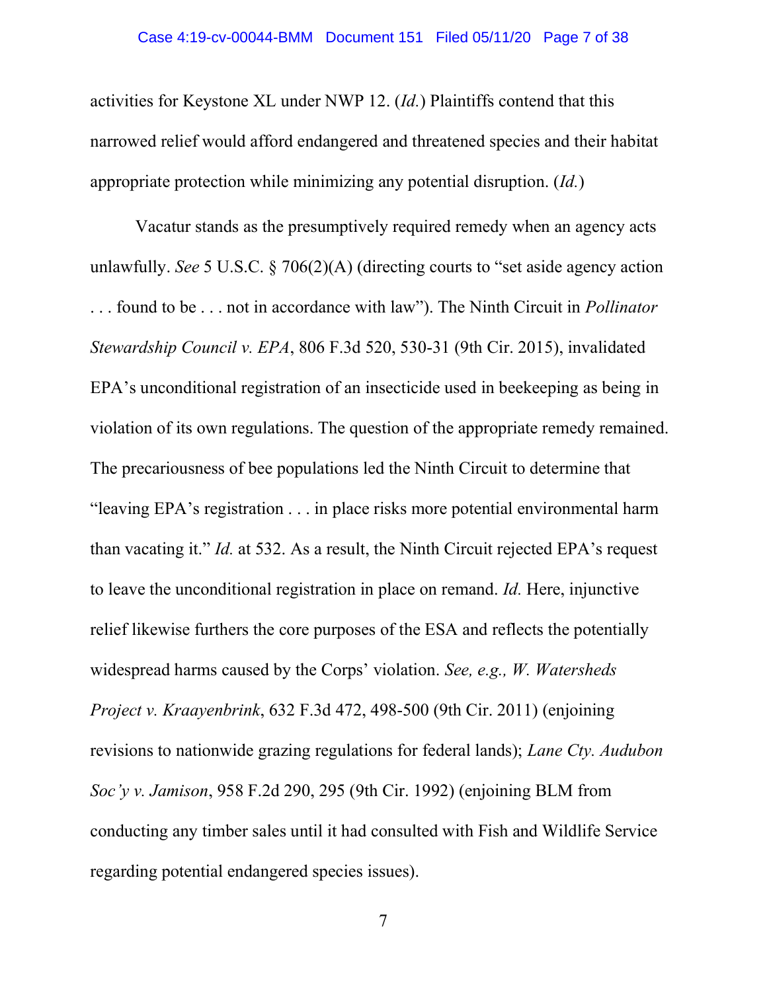activities for Keystone XL under NWP 12. (*Id.*) Plaintiffs contend that this narrowed relief would afford endangered and threatened species and their habitat appropriate protection while minimizing any potential disruption. (*Id.*)

Vacatur stands as the presumptively required remedy when an agency acts unlawfully. *See* 5 U.S.C. § 706(2)(A) (directing courts to "set aside agency action . . . found to be . . . not in accordance with law"). The Ninth Circuit in *Pollinator Stewardship Council v. EPA*, 806 F.3d 520, 530-31 (9th Cir. 2015), invalidated EPA's unconditional registration of an insecticide used in beekeeping as being in violation of its own regulations. The question of the appropriate remedy remained. The precariousness of bee populations led the Ninth Circuit to determine that "leaving EPA's registration . . . in place risks more potential environmental harm than vacating it." *Id.* at 532. As a result, the Ninth Circuit rejected EPA's request to leave the unconditional registration in place on remand. *Id.* Here, injunctive relief likewise furthers the core purposes of the ESA and reflects the potentially widespread harms caused by the Corps' violation. *See, e.g., W. Watersheds Project v. Kraayenbrink*, 632 F.3d 472, 498-500 (9th Cir. 2011) (enjoining revisions to nationwide grazing regulations for federal lands); *Lane Cty. Audubon Soc'y v. Jamison*, 958 F.2d 290, 295 (9th Cir. 1992) (enjoining BLM from conducting any timber sales until it had consulted with Fish and Wildlife Service regarding potential endangered species issues).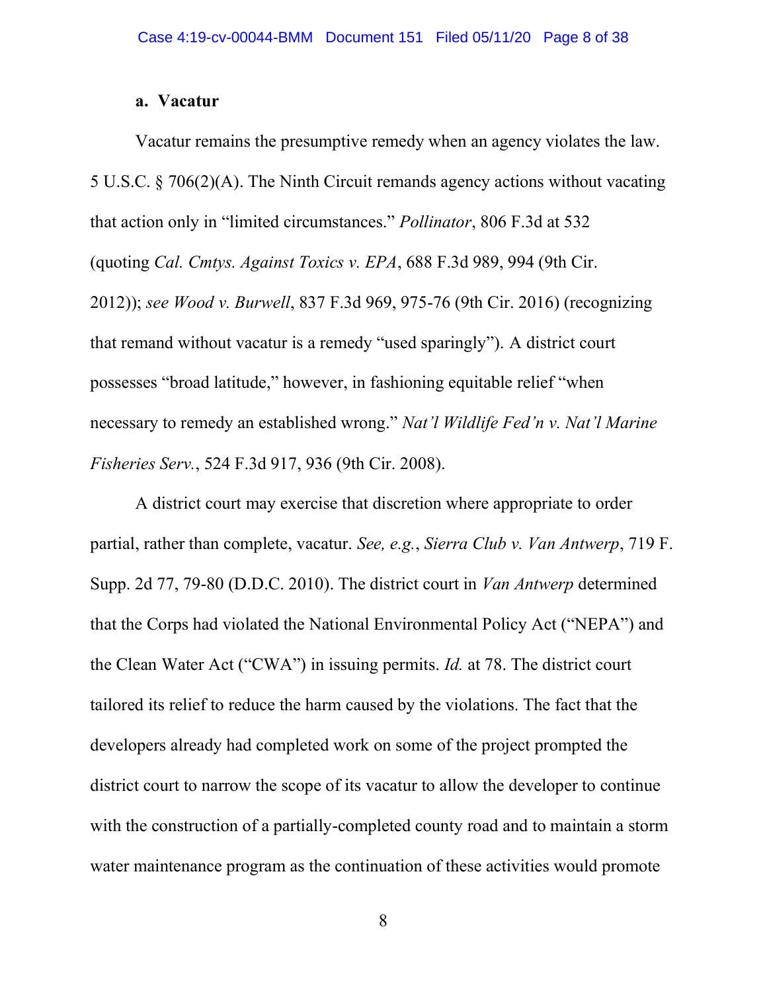# **a. Vacatur**

Vacatur remains the presumptive remedy when an agency violates the law. 5 U.S.C. § 706(2)(A). The Ninth Circuit remands agency actions without vacating that action only in "limited circumstances." *Pollinator*, 806 F.3d at 532 (quoting *Cal. Cmtys. Against Toxics v. EPA*, 688 F.3d 989, 994 (9th Cir. 2012)); *see Wood v. Burwell*, 837 F.3d 969, 975-76 (9th Cir. 2016) (recognizing that remand without vacatur is a remedy "used sparingly"). A district court possesses "broad latitude," however, in fashioning equitable relief "when necessary to remedy an established wrong." *Nat'l Wildlife Fed'n v. Nat'l Marine Fisheries Serv.*, 524 F.3d 917, 936 (9th Cir. 2008).

A district court may exercise that discretion where appropriate to order partial, rather than complete, vacatur. *See, e.g.*, *Sierra Club v. Van Antwerp*, 719 F. Supp. 2d 77, 79-80 (D.D.C. 2010). The district court in *Van Antwerp* determined that the Corps had violated the National Environmental Policy Act ("NEPA") and the Clean Water Act ("CWA") in issuing permits. *Id.* at 78. The district court tailored its relief to reduce the harm caused by the violations. The fact that the developers already had completed work on some of the project prompted the district court to narrow the scope of its vacatur to allow the developer to continue with the construction of a partially-completed county road and to maintain a storm water maintenance program as the continuation of these activities would promote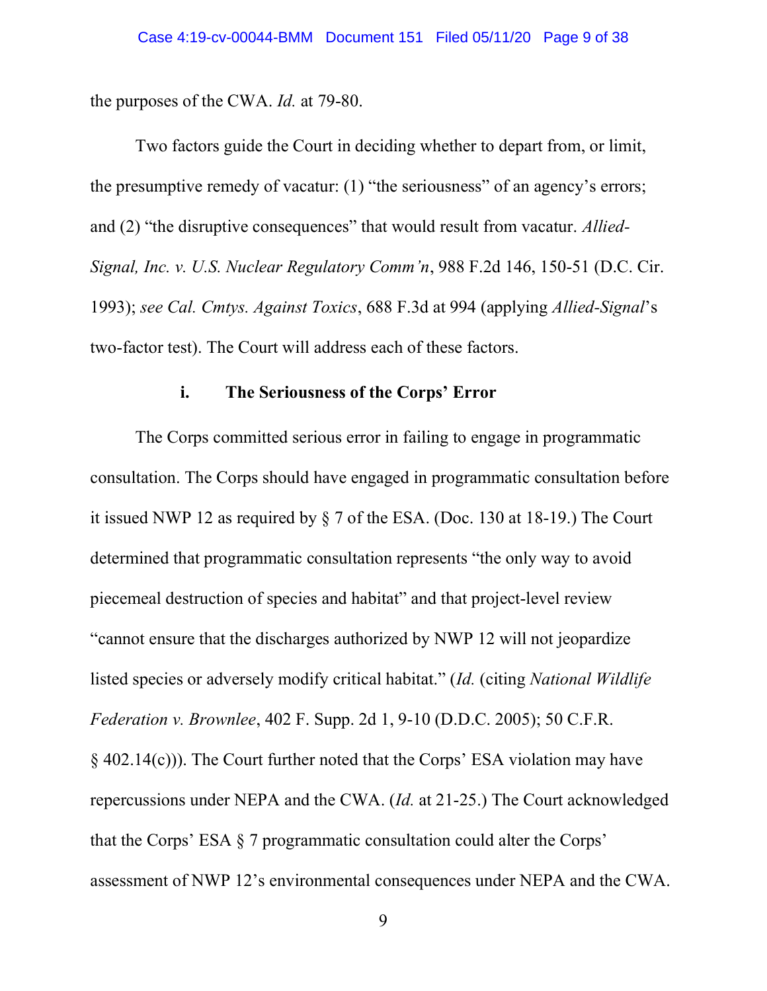the purposes of the CWA. *Id.* at 79-80.

Two factors guide the Court in deciding whether to depart from, or limit, the presumptive remedy of vacatur: (1) "the seriousness" of an agency's errors; and (2) "the disruptive consequences" that would result from vacatur. *Allied-Signal, Inc. v. U.S. Nuclear Regulatory Comm'n*, 988 F.2d 146, 150-51 (D.C. Cir. 1993); *see Cal. Cmtys. Against Toxics*, 688 F.3d at 994 (applying *Allied-Signal*'s two-factor test). The Court will address each of these factors.

### **i. The Seriousness of the Corps' Error**

The Corps committed serious error in failing to engage in programmatic consultation. The Corps should have engaged in programmatic consultation before it issued NWP 12 as required by § 7 of the ESA. (Doc. 130 at 18-19.) The Court determined that programmatic consultation represents "the only way to avoid piecemeal destruction of species and habitat" and that project-level review "cannot ensure that the discharges authorized by NWP 12 will not jeopardize listed species or adversely modify critical habitat." (*Id.* (citing *National Wildlife Federation v. Brownlee*, 402 F. Supp. 2d 1, 9-10 (D.D.C. 2005); 50 C.F.R. § 402.14(c))). The Court further noted that the Corps' ESA violation may have repercussions under NEPA and the CWA. (*Id.* at 21-25.) The Court acknowledged that the Corps' ESA § 7 programmatic consultation could alter the Corps' assessment of NWP 12's environmental consequences under NEPA and the CWA.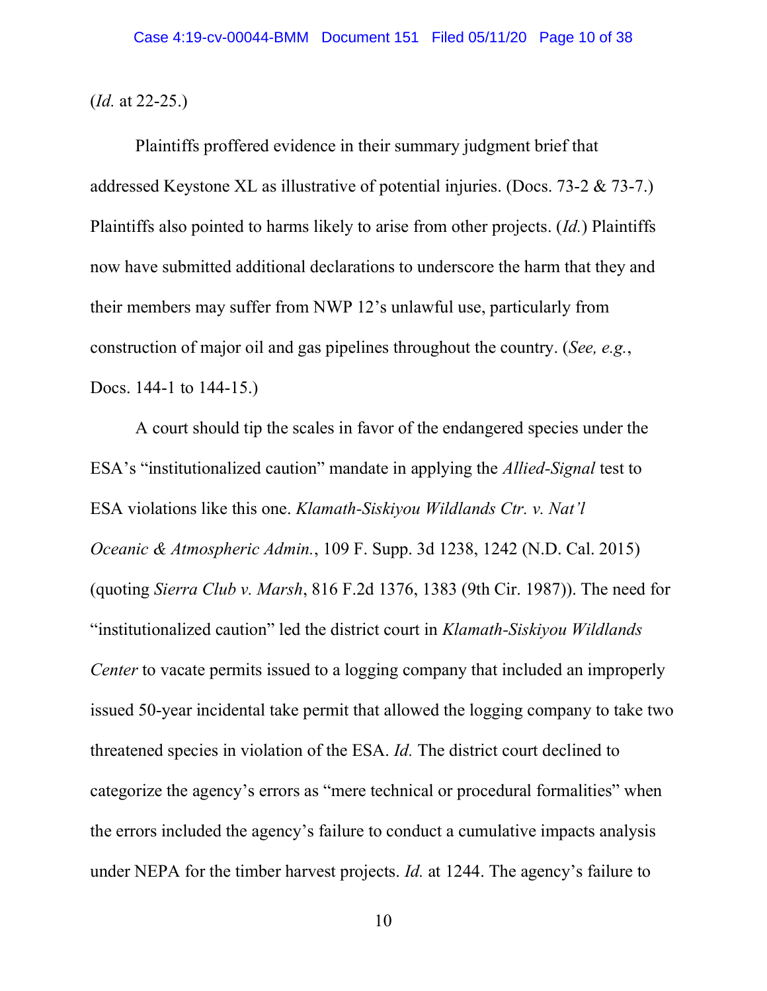(*Id.* at 22-25.)

Plaintiffs proffered evidence in their summary judgment brief that addressed Keystone XL as illustrative of potential injuries. (Docs. 73-2 & 73-7.) Plaintiffs also pointed to harms likely to arise from other projects. (*Id.*) Plaintiffs now have submitted additional declarations to underscore the harm that they and their members may suffer from NWP 12's unlawful use, particularly from construction of major oil and gas pipelines throughout the country. (*See, e.g.*, Docs. 144-1 to 144-15.)

A court should tip the scales in favor of the endangered species under the ESA's "institutionalized caution" mandate in applying the *Allied-Signal* test to ESA violations like this one. *Klamath-Siskiyou Wildlands Ctr. v. Nat'l Oceanic & Atmospheric Admin.*, 109 F. Supp. 3d 1238, 1242 (N.D. Cal. 2015) (quoting *Sierra Club v. Marsh*, 816 F.2d 1376, 1383 (9th Cir. 1987)). The need for "institutionalized caution" led the district court in *Klamath-Siskiyou Wildlands Center* to vacate permits issued to a logging company that included an improperly issued 50-year incidental take permit that allowed the logging company to take two threatened species in violation of the ESA. *Id.* The district court declined to categorize the agency's errors as "mere technical or procedural formalities" when the errors included the agency's failure to conduct a cumulative impacts analysis under NEPA for the timber harvest projects. *Id.* at 1244. The agency's failure to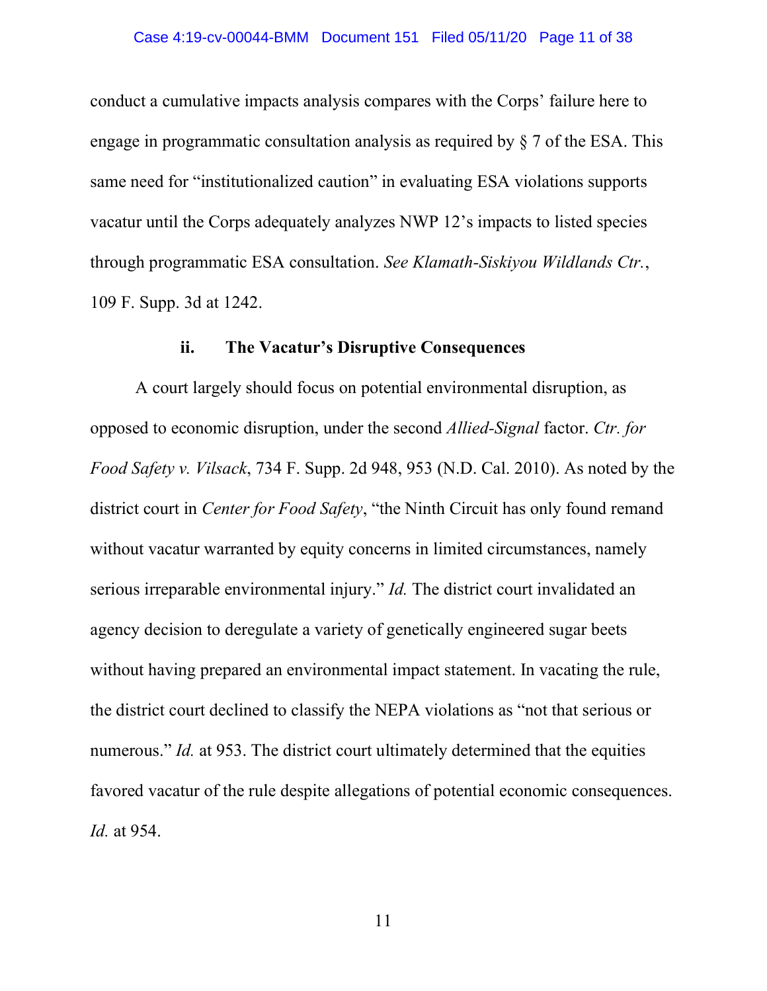conduct a cumulative impacts analysis compares with the Corps' failure here to engage in programmatic consultation analysis as required by § 7 of the ESA. This same need for "institutionalized caution" in evaluating ESA violations supports vacatur until the Corps adequately analyzes NWP 12's impacts to listed species through programmatic ESA consultation. *See Klamath-Siskiyou Wildlands Ctr.*, 109 F. Supp. 3d at 1242.

### **ii. The Vacatur's Disruptive Consequences**

A court largely should focus on potential environmental disruption, as opposed to economic disruption, under the second *Allied-Signal* factor. *Ctr. for Food Safety v. Vilsack*, 734 F. Supp. 2d 948, 953 (N.D. Cal. 2010). As noted by the district court in *Center for Food Safety*, "the Ninth Circuit has only found remand without vacatur warranted by equity concerns in limited circumstances, namely serious irreparable environmental injury." *Id.* The district court invalidated an agency decision to deregulate a variety of genetically engineered sugar beets without having prepared an environmental impact statement. In vacating the rule, the district court declined to classify the NEPA violations as "not that serious or numerous." *Id.* at 953. The district court ultimately determined that the equities favored vacatur of the rule despite allegations of potential economic consequences. *Id.* at 954.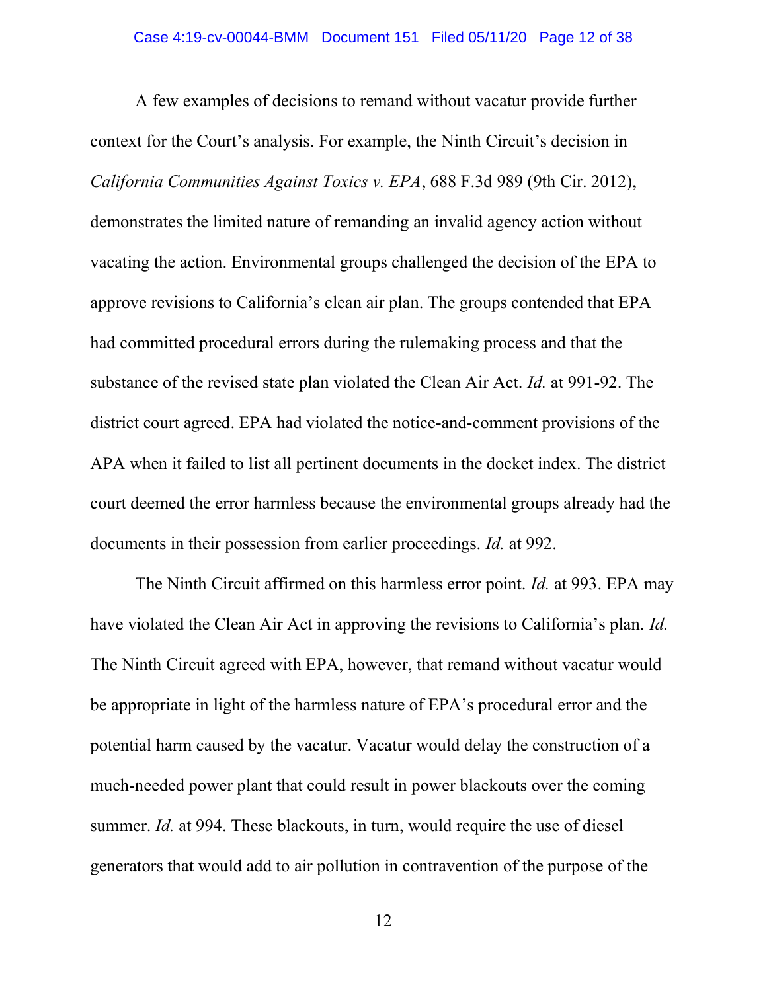A few examples of decisions to remand without vacatur provide further context for the Court's analysis. For example, the Ninth Circuit's decision in *California Communities Against Toxics v. EPA*, 688 F.3d 989 (9th Cir. 2012), demonstrates the limited nature of remanding an invalid agency action without vacating the action. Environmental groups challenged the decision of the EPA to approve revisions to California's clean air plan. The groups contended that EPA had committed procedural errors during the rulemaking process and that the substance of the revised state plan violated the Clean Air Act. *Id.* at 991-92. The district court agreed. EPA had violated the notice-and-comment provisions of the APA when it failed to list all pertinent documents in the docket index. The district court deemed the error harmless because the environmental groups already had the documents in their possession from earlier proceedings. *Id.* at 992.

The Ninth Circuit affirmed on this harmless error point. *Id.* at 993. EPA may have violated the Clean Air Act in approving the revisions to California's plan. *Id.* The Ninth Circuit agreed with EPA, however, that remand without vacatur would be appropriate in light of the harmless nature of EPA's procedural error and the potential harm caused by the vacatur. Vacatur would delay the construction of a much-needed power plant that could result in power blackouts over the coming summer. *Id.* at 994. These blackouts, in turn, would require the use of diesel generators that would add to air pollution in contravention of the purpose of the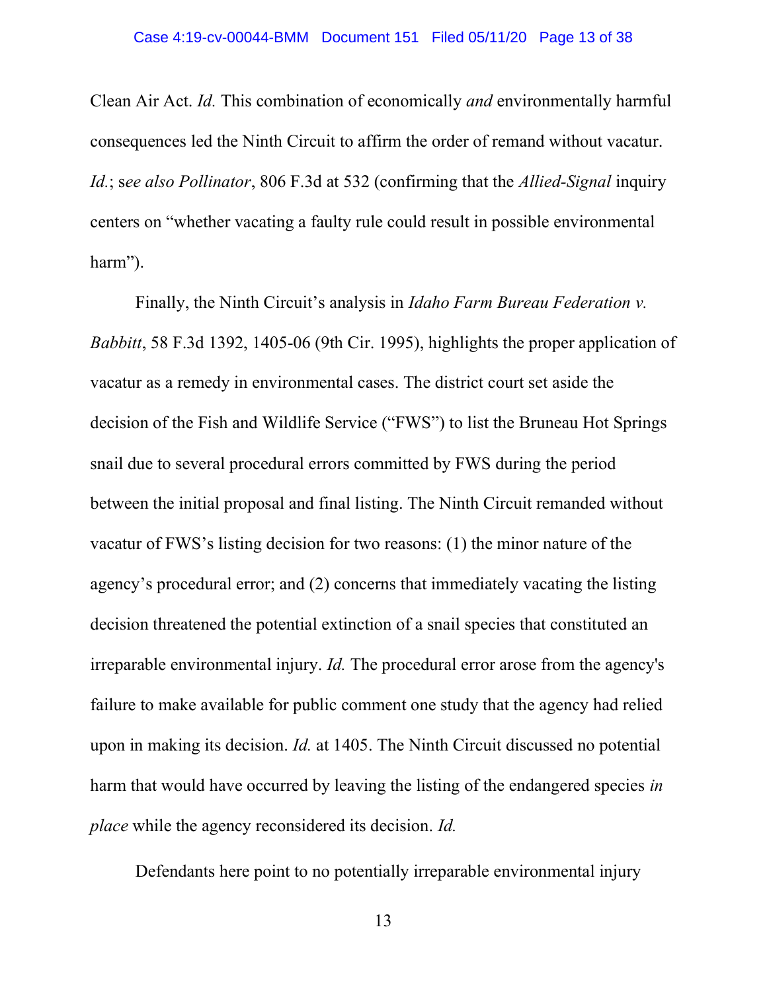Clean Air Act. *Id.* This combination of economically *and* environmentally harmful consequences led the Ninth Circuit to affirm the order of remand without vacatur. *Id.*; s*ee also Pollinator*, 806 F.3d at 532 (confirming that the *Allied-Signal* inquiry centers on "whether vacating a faulty rule could result in possible environmental harm").

Finally, the Ninth Circuit's analysis in *Idaho Farm Bureau Federation v. Babbitt*, 58 F.3d 1392, 1405-06 (9th Cir. 1995), highlights the proper application of vacatur as a remedy in environmental cases. The district court set aside the decision of the Fish and Wildlife Service ("FWS") to list the Bruneau Hot Springs snail due to several procedural errors committed by FWS during the period between the initial proposal and final listing. The Ninth Circuit remanded without vacatur of FWS's listing decision for two reasons: (1) the minor nature of the agency's procedural error; and (2) concerns that immediately vacating the listing decision threatened the potential extinction of a snail species that constituted an irreparable environmental injury. *Id.* The procedural error arose from the agency's failure to make available for public comment one study that the agency had relied upon in making its decision. *Id.* at 1405. The Ninth Circuit discussed no potential harm that would have occurred by leaving the listing of the endangered species *in place* while the agency reconsidered its decision. *Id.*

Defendants here point to no potentially irreparable environmental injury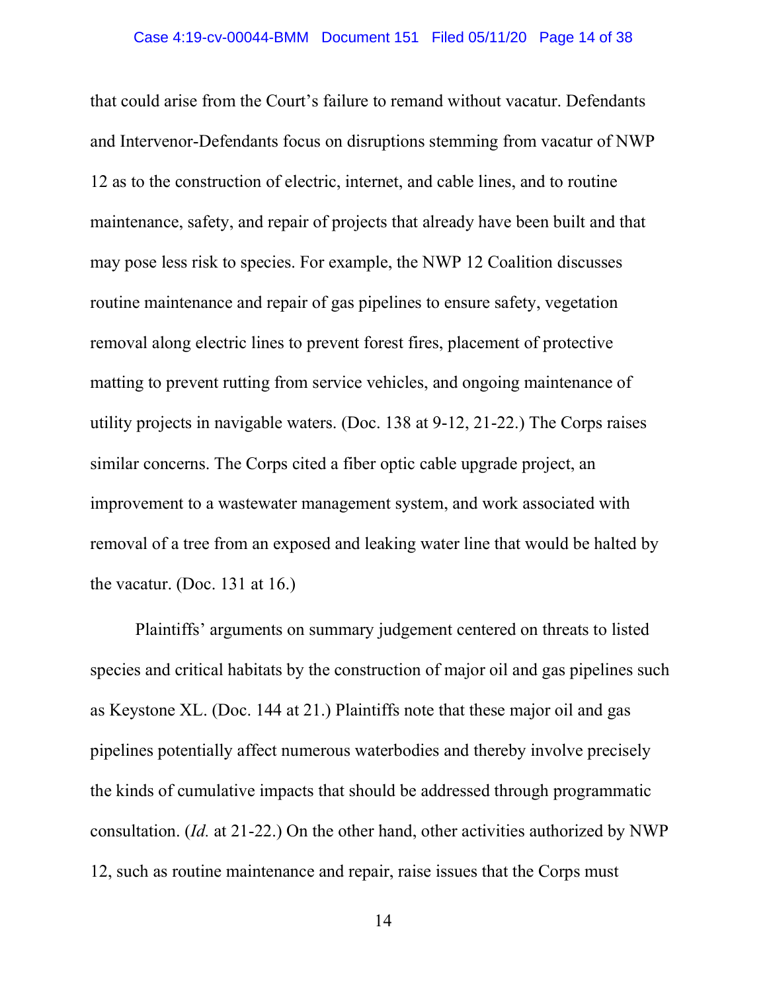that could arise from the Court's failure to remand without vacatur. Defendants and Intervenor-Defendants focus on disruptions stemming from vacatur of NWP 12 as to the construction of electric, internet, and cable lines, and to routine maintenance, safety, and repair of projects that already have been built and that may pose less risk to species. For example, the NWP 12 Coalition discusses routine maintenance and repair of gas pipelines to ensure safety, vegetation removal along electric lines to prevent forest fires, placement of protective matting to prevent rutting from service vehicles, and ongoing maintenance of utility projects in navigable waters. (Doc. 138 at 9-12, 21-22.) The Corps raises similar concerns. The Corps cited a fiber optic cable upgrade project, an improvement to a wastewater management system, and work associated with removal of a tree from an exposed and leaking water line that would be halted by the vacatur. (Doc. 131 at 16.)

Plaintiffs' arguments on summary judgement centered on threats to listed species and critical habitats by the construction of major oil and gas pipelines such as Keystone XL. (Doc. 144 at 21.) Plaintiffs note that these major oil and gas pipelines potentially affect numerous waterbodies and thereby involve precisely the kinds of cumulative impacts that should be addressed through programmatic consultation. (*Id.* at 21-22.) On the other hand, other activities authorized by NWP 12, such as routine maintenance and repair, raise issues that the Corps must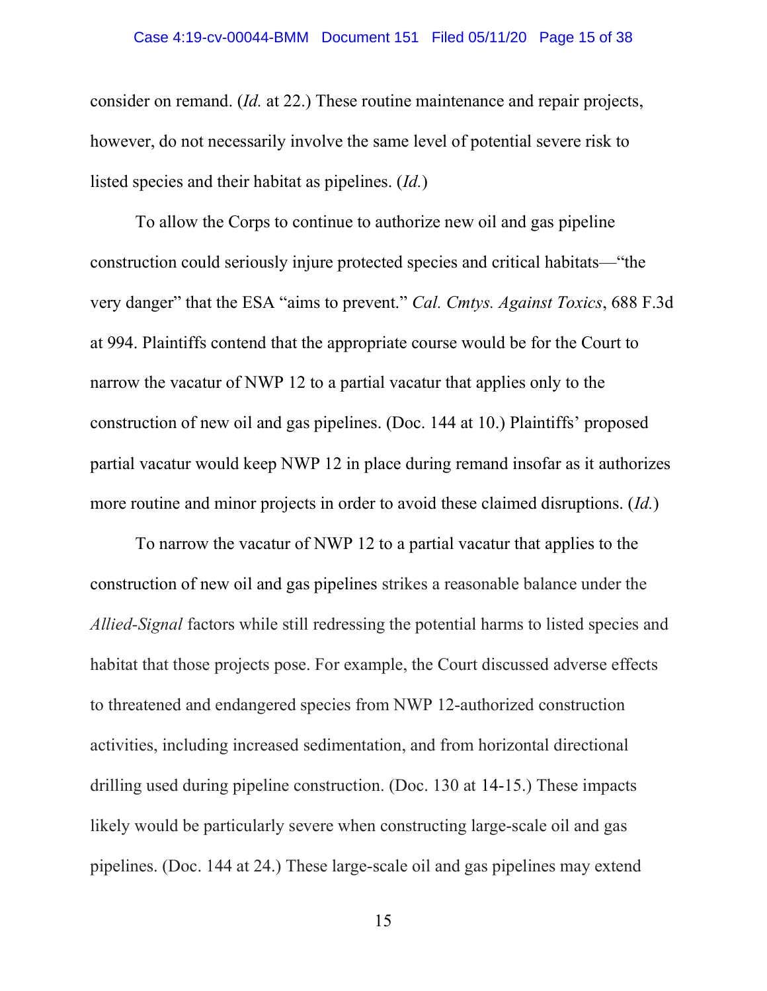consider on remand. (*Id.* at 22.) These routine maintenance and repair projects, however, do not necessarily involve the same level of potential severe risk to listed species and their habitat as pipelines. (*Id.*)

To allow the Corps to continue to authorize new oil and gas pipeline construction could seriously injure protected species and critical habitats—"the very danger" that the ESA "aims to prevent." *Cal. Cmtys. Against Toxics*, 688 F.3d at 994. Plaintiffs contend that the appropriate course would be for the Court to narrow the vacatur of NWP 12 to a partial vacatur that applies only to the construction of new oil and gas pipelines. (Doc. 144 at 10.) Plaintiffs' proposed partial vacatur would keep NWP 12 in place during remand insofar as it authorizes more routine and minor projects in order to avoid these claimed disruptions. (*Id.*)

To narrow the vacatur of NWP 12 to a partial vacatur that applies to the construction of new oil and gas pipelines strikes a reasonable balance under the *Allied-Signal* factors while still redressing the potential harms to listed species and habitat that those projects pose. For example, the Court discussed adverse effects to threatened and endangered species from NWP 12-authorized construction activities, including increased sedimentation, and from horizontal directional drilling used during pipeline construction. (Doc. 130 at 14-15.) These impacts likely would be particularly severe when constructing large-scale oil and gas pipelines. (Doc. 144 at 24.) These large-scale oil and gas pipelines may extend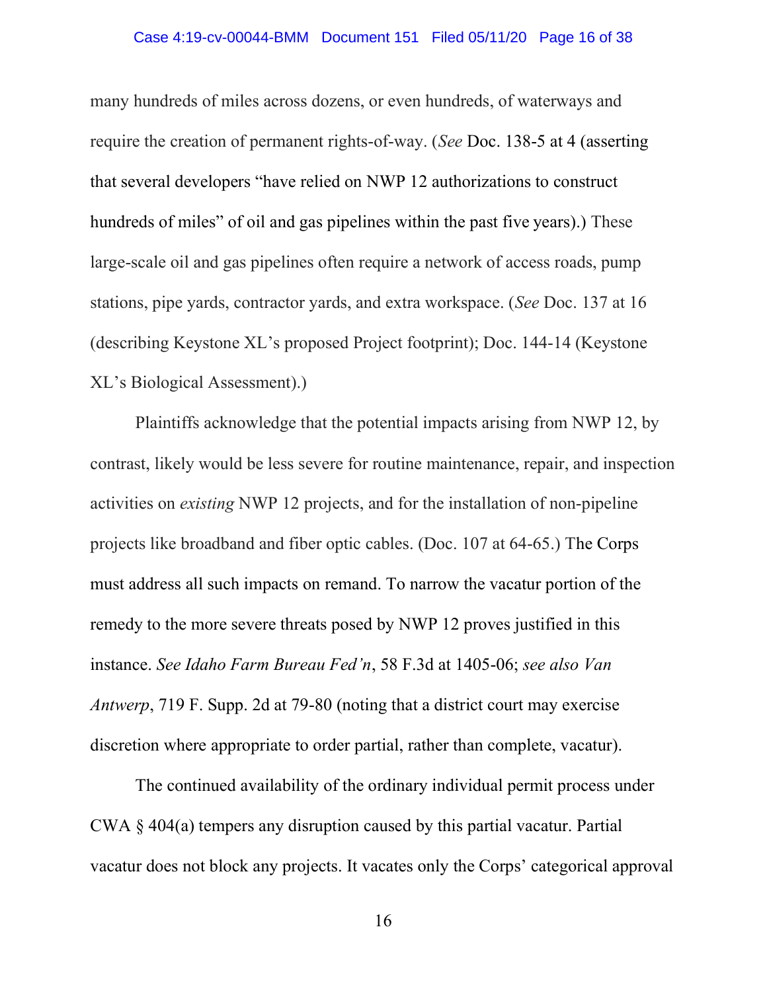many hundreds of miles across dozens, or even hundreds, of waterways and require the creation of permanent rights-of-way. (*See* Doc. 138-5 at 4 (asserting that several developers "have relied on NWP 12 authorizations to construct hundreds of miles" of oil and gas pipelines within the past five years).) These large-scale oil and gas pipelines often require a network of access roads, pump stations, pipe yards, contractor yards, and extra workspace. (*See* Doc. 137 at 16 (describing Keystone XL's proposed Project footprint); Doc. 144-14 (Keystone XL's Biological Assessment).)

Plaintiffs acknowledge that the potential impacts arising from NWP 12, by contrast, likely would be less severe for routine maintenance, repair, and inspection activities on *existing* NWP 12 projects, and for the installation of non-pipeline projects like broadband and fiber optic cables. (Doc. 107 at 64-65.) The Corps must address all such impacts on remand. To narrow the vacatur portion of the remedy to the more severe threats posed by NWP 12 proves justified in this instance. *See Idaho Farm Bureau Fed'n*, 58 F.3d at 1405-06; *see also Van Antwerp*, 719 F. Supp. 2d at 79-80 (noting that a district court may exercise discretion where appropriate to order partial, rather than complete, vacatur).

The continued availability of the ordinary individual permit process under CWA § 404(a) tempers any disruption caused by this partial vacatur. Partial vacatur does not block any projects. It vacates only the Corps' categorical approval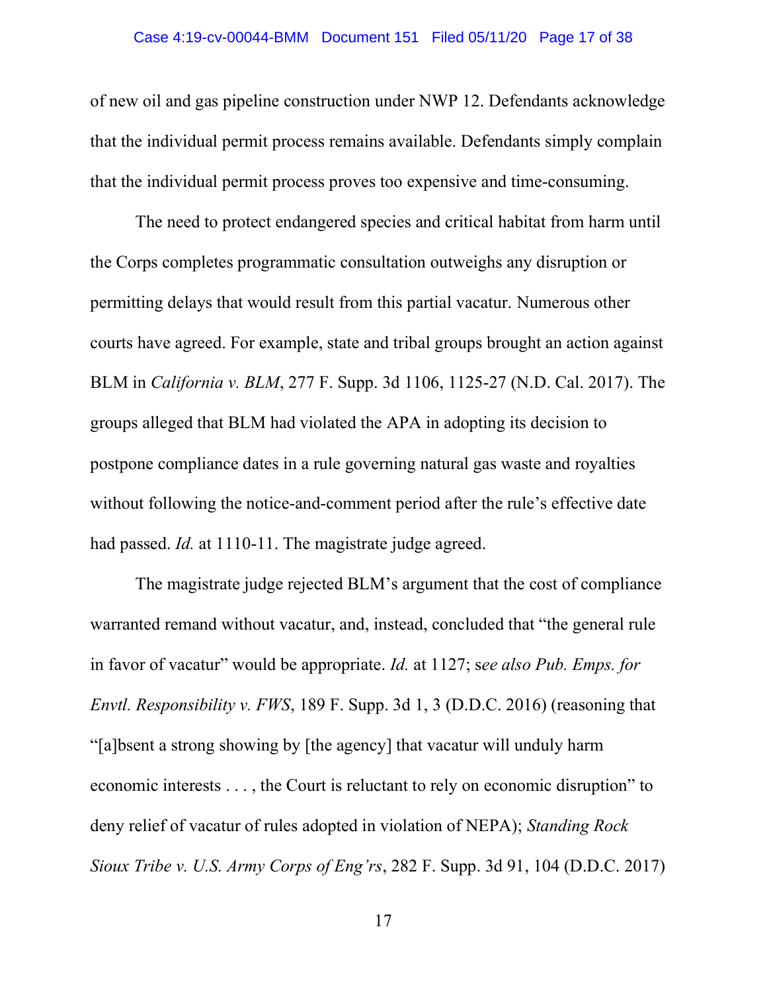of new oil and gas pipeline construction under NWP 12. Defendants acknowledge that the individual permit process remains available. Defendants simply complain that the individual permit process proves too expensive and time-consuming.

The need to protect endangered species and critical habitat from harm until the Corps completes programmatic consultation outweighs any disruption or permitting delays that would result from this partial vacatur. Numerous other courts have agreed. For example, state and tribal groups brought an action against BLM in *California v. BLM*, 277 F. Supp. 3d 1106, 1125-27 (N.D. Cal. 2017). The groups alleged that BLM had violated the APA in adopting its decision to postpone compliance dates in a rule governing natural gas waste and royalties without following the notice-and-comment period after the rule's effective date had passed. *Id.* at 1110-11. The magistrate judge agreed.

The magistrate judge rejected BLM's argument that the cost of compliance warranted remand without vacatur, and, instead, concluded that "the general rule in favor of vacatur" would be appropriate. *Id.* at 1127; s*ee also Pub. Emps. for Envtl. Responsibility v. FWS*, 189 F. Supp. 3d 1, 3 (D.D.C. 2016) (reasoning that "[a]bsent a strong showing by [the agency] that vacatur will unduly harm economic interests . . . , the Court is reluctant to rely on economic disruption" to deny relief of vacatur of rules adopted in violation of NEPA); *Standing Rock Sioux Tribe v. U.S. Army Corps of Eng'rs*, 282 F. Supp. 3d 91, 104 (D.D.C. 2017)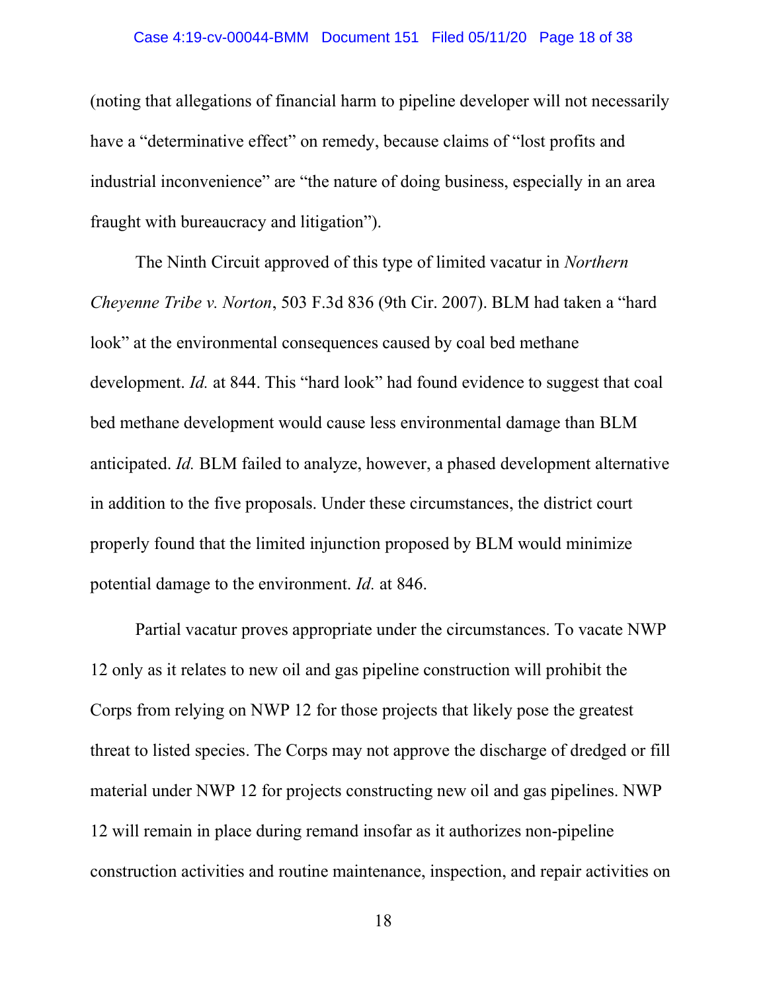#### Case 4:19-cv-00044-BMM Document 151 Filed 05/11/20 Page 18 of 38

(noting that allegations of financial harm to pipeline developer will not necessarily have a "determinative effect" on remedy, because claims of "lost profits and industrial inconvenience" are "the nature of doing business, especially in an area fraught with bureaucracy and litigation").

The Ninth Circuit approved of this type of limited vacatur in *Northern Cheyenne Tribe v. Norton*, 503 F.3d 836 (9th Cir. 2007). BLM had taken a "hard look" at the environmental consequences caused by coal bed methane development. *Id.* at 844. This "hard look" had found evidence to suggest that coal bed methane development would cause less environmental damage than BLM anticipated. *Id.* BLM failed to analyze, however, a phased development alternative in addition to the five proposals. Under these circumstances, the district court properly found that the limited injunction proposed by BLM would minimize potential damage to the environment. *Id.* at 846.

Partial vacatur proves appropriate under the circumstances. To vacate NWP 12 only as it relates to new oil and gas pipeline construction will prohibit the Corps from relying on NWP 12 for those projects that likely pose the greatest threat to listed species. The Corps may not approve the discharge of dredged or fill material under NWP 12 for projects constructing new oil and gas pipelines. NWP 12 will remain in place during remand insofar as it authorizes non-pipeline construction activities and routine maintenance, inspection, and repair activities on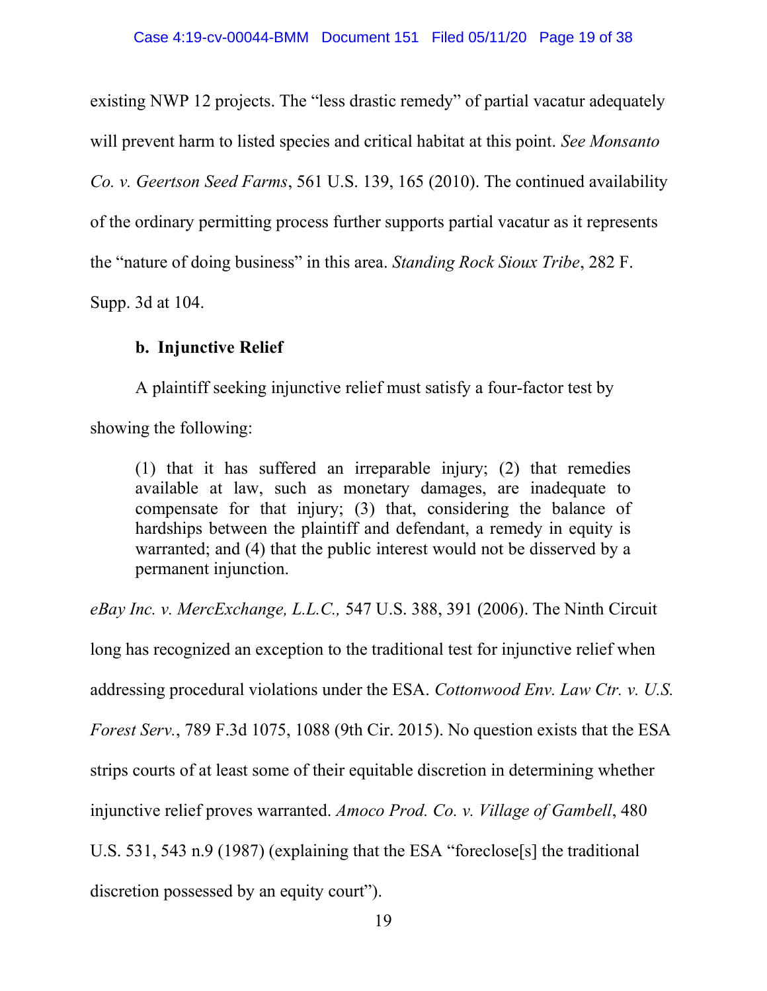existing NWP 12 projects. The "less drastic remedy" of partial vacatur adequately will prevent harm to listed species and critical habitat at this point. *See Monsanto Co. v. Geertson Seed Farms*, 561 U.S. 139, 165 (2010). The continued availability of the ordinary permitting process further supports partial vacatur as it represents the "nature of doing business" in this area. *Standing Rock Sioux Tribe*, 282 F. Supp. 3d at 104.

# **b. Injunctive Relief**

A plaintiff seeking injunctive relief must satisfy a four-factor test by showing the following:

(1) that it has suffered an irreparable injury; (2) that remedies available at law, such as monetary damages, are inadequate to compensate for that injury; (3) that, considering the balance of hardships between the plaintiff and defendant, a remedy in equity is warranted; and (4) that the public interest would not be disserved by a permanent injunction.

*eBay Inc. v. MercExchange, L.L.C.,* 547 U.S. 388, 391 (2006). The Ninth Circuit

long has recognized an exception to the traditional test for injunctive relief when addressing procedural violations under the ESA. *Cottonwood Env. Law Ctr. v. U.S. Forest Serv.*, 789 F.3d 1075, 1088 (9th Cir. 2015). No question exists that the ESA strips courts of at least some of their equitable discretion in determining whether injunctive relief proves warranted. *Amoco Prod. Co. v. Village of Gambell*, 480 U.S. 531, 543 n.9 (1987) (explaining that the ESA "foreclose[s] the traditional discretion possessed by an equity court").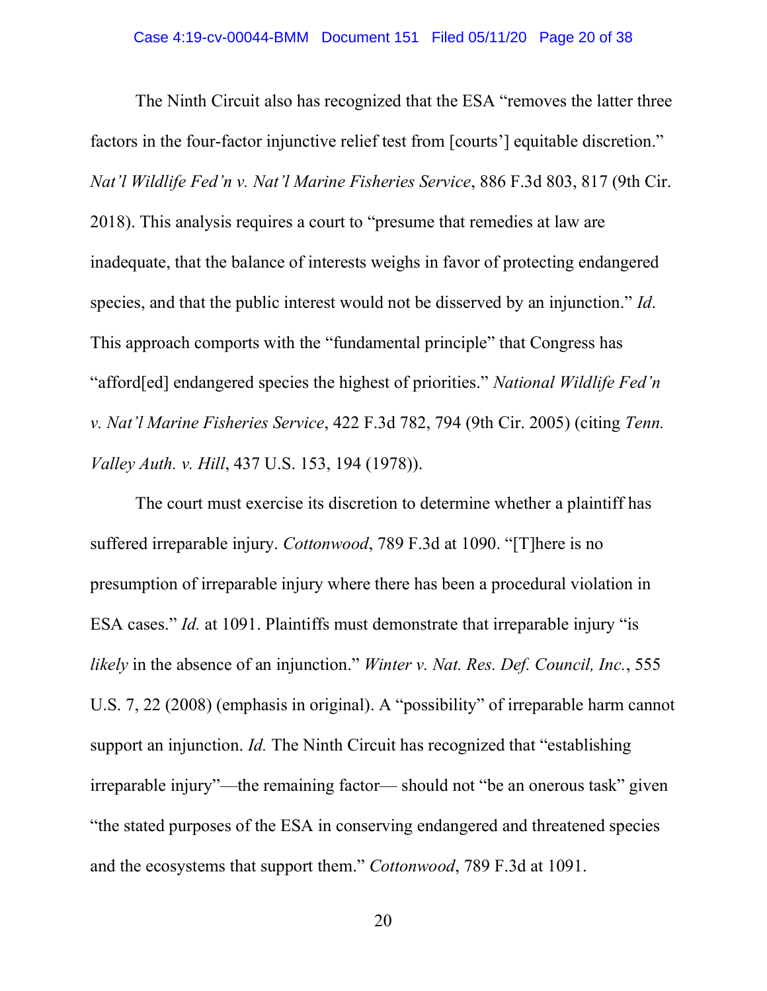The Ninth Circuit also has recognized that the ESA "removes the latter three factors in the four-factor injunctive relief test from [courts'] equitable discretion." *Nat'l Wildlife Fed'n v. Nat'l Marine Fisheries Service*, 886 F.3d 803, 817 (9th Cir. 2018). This analysis requires a court to "presume that remedies at law are inadequate, that the balance of interests weighs in favor of protecting endangered species, and that the public interest would not be disserved by an injunction." *Id*. This approach comports with the "fundamental principle" that Congress has "afford[ed] endangered species the highest of priorities." *National Wildlife Fed'n v. Nat'l Marine Fisheries Service*, 422 F.3d 782, 794 (9th Cir. 2005) (citing *Tenn. Valley Auth. v. Hill*, 437 U.S. 153, 194 (1978)).

The court must exercise its discretion to determine whether a plaintiff has suffered irreparable injury. *Cottonwood*, 789 F.3d at 1090. "[T]here is no presumption of irreparable injury where there has been a procedural violation in ESA cases." *Id.* at 1091. Plaintiffs must demonstrate that irreparable injury "is *likely* in the absence of an injunction." *Winter v. Nat. Res. Def. Council, Inc.*, 555 U.S. 7, 22 (2008) (emphasis in original). A "possibility" of irreparable harm cannot support an injunction. *Id*. The Ninth Circuit has recognized that "establishing" irreparable injury"—the remaining factor— should not "be an onerous task" given "the stated purposes of the ESA in conserving endangered and threatened species and the ecosystems that support them." *Cottonwood*, 789 F.3d at 1091.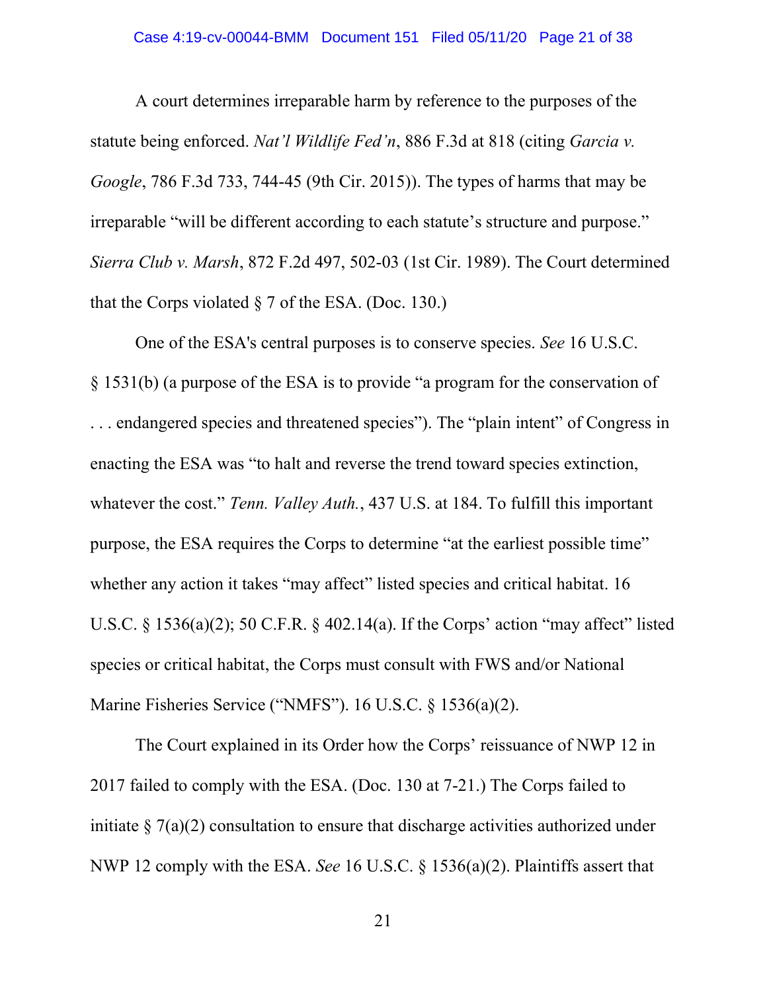A court determines irreparable harm by reference to the purposes of the statute being enforced. *Nat'l Wildlife Fed'n*, 886 F.3d at 818 (citing *Garcia v. Google*, 786 F.3d 733, 744-45 (9th Cir. 2015)). The types of harms that may be irreparable "will be different according to each statute's structure and purpose." *Sierra Club v. Marsh*, 872 F.2d 497, 502-03 (1st Cir. 1989). The Court determined that the Corps violated  $\S$  7 of the ESA. (Doc. 130.)

One of the ESA's central purposes is to conserve species. *See* 16 U.S.C. § 1531(b) (a purpose of the ESA is to provide "a program for the conservation of . . . endangered species and threatened species"). The "plain intent" of Congress in enacting the ESA was "to halt and reverse the trend toward species extinction, whatever the cost." *Tenn. Valley Auth.*, 437 U.S. at 184. To fulfill this important purpose, the ESA requires the Corps to determine "at the earliest possible time" whether any action it takes "may affect" listed species and critical habitat. 16 U.S.C. § 1536(a)(2); 50 C.F.R. § 402.14(a). If the Corps' action "may affect" listed species or critical habitat, the Corps must consult with FWS and/or National Marine Fisheries Service ("NMFS"). 16 U.S.C. § 1536(a)(2).

The Court explained in its Order how the Corps' reissuance of NWP 12 in 2017 failed to comply with the ESA. (Doc. 130 at 7-21.) The Corps failed to initiate  $\S 7(a)(2)$  consultation to ensure that discharge activities authorized under NWP 12 comply with the ESA. *See* 16 U.S.C. § 1536(a)(2). Plaintiffs assert that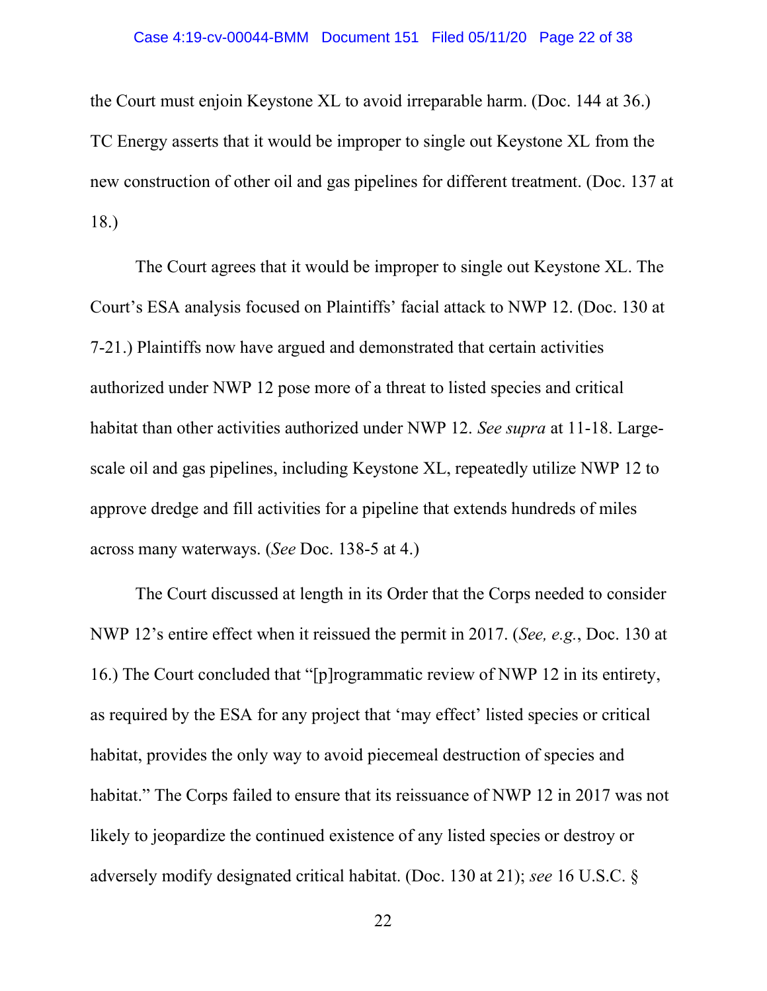#### Case 4:19-cv-00044-BMM Document 151 Filed 05/11/20 Page 22 of 38

the Court must enjoin Keystone XL to avoid irreparable harm. (Doc. 144 at 36.) TC Energy asserts that it would be improper to single out Keystone XL from the new construction of other oil and gas pipelines for different treatment. (Doc. 137 at 18.)

The Court agrees that it would be improper to single out Keystone XL. The Court's ESA analysis focused on Plaintiffs' facial attack to NWP 12. (Doc. 130 at 7-21.) Plaintiffs now have argued and demonstrated that certain activities authorized under NWP 12 pose more of a threat to listed species and critical habitat than other activities authorized under NWP 12. *See supra* at 11-18. Largescale oil and gas pipelines, including Keystone XL, repeatedly utilize NWP 12 to approve dredge and fill activities for a pipeline that extends hundreds of miles across many waterways. (*See* Doc. 138-5 at 4.)

The Court discussed at length in its Order that the Corps needed to consider NWP 12's entire effect when it reissued the permit in 2017. (*See, e.g.*, Doc. 130 at 16.) The Court concluded that "[p]rogrammatic review of NWP 12 in its entirety, as required by the ESA for any project that 'may effect' listed species or critical habitat, provides the only way to avoid piecemeal destruction of species and habitat." The Corps failed to ensure that its reissuance of NWP 12 in 2017 was not likely to jeopardize the continued existence of any listed species or destroy or adversely modify designated critical habitat. (Doc. 130 at 21); *see* 16 U.S.C. §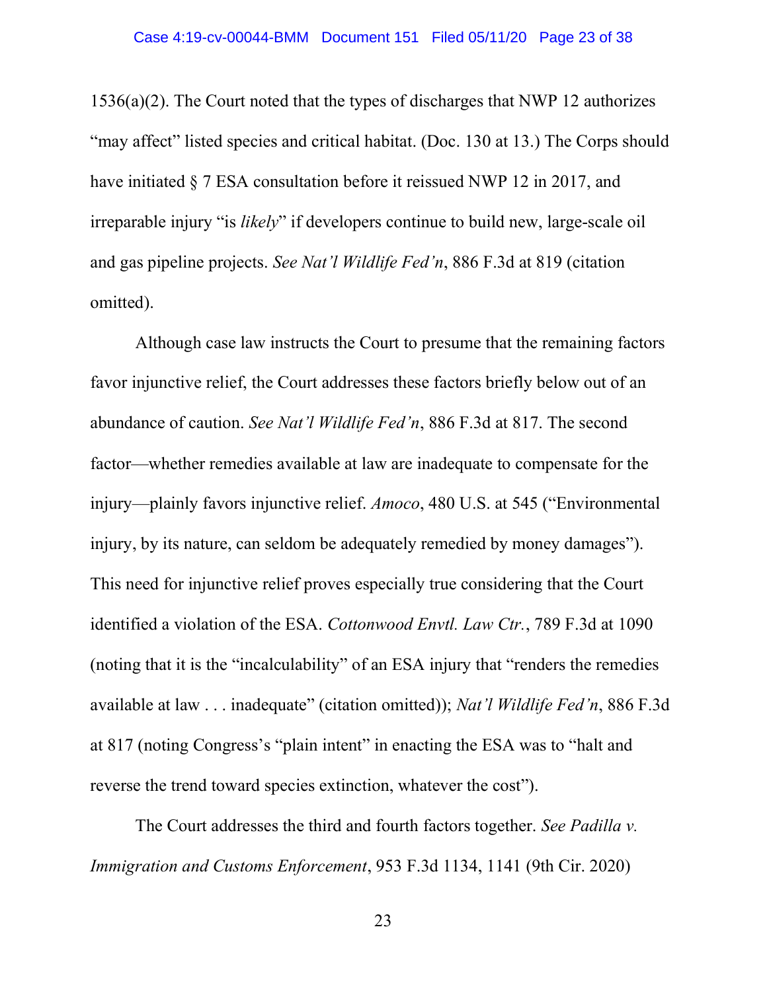1536(a)(2). The Court noted that the types of discharges that NWP 12 authorizes "may affect" listed species and critical habitat. (Doc. 130 at 13.) The Corps should have initiated § 7 ESA consultation before it reissued NWP 12 in 2017, and irreparable injury "is *likely*" if developers continue to build new, large-scale oil and gas pipeline projects. *See Nat'l Wildlife Fed'n*, 886 F.3d at 819 (citation omitted).

Although case law instructs the Court to presume that the remaining factors favor injunctive relief, the Court addresses these factors briefly below out of an abundance of caution. *See Nat'l Wildlife Fed'n*, 886 F.3d at 817. The second factor—whether remedies available at law are inadequate to compensate for the injury—plainly favors injunctive relief. *Amoco*, 480 U.S. at 545 ("Environmental injury, by its nature, can seldom be adequately remedied by money damages"). This need for injunctive relief proves especially true considering that the Court identified a violation of the ESA. *Cottonwood Envtl. Law Ctr.*, 789 F.3d at 1090 (noting that it is the "incalculability" of an ESA injury that "renders the remedies available at law . . . inadequate" (citation omitted)); *Nat'l Wildlife Fed'n*, 886 F.3d at 817 (noting Congress's "plain intent" in enacting the ESA was to "halt and reverse the trend toward species extinction, whatever the cost").

The Court addresses the third and fourth factors together. *See Padilla v. Immigration and Customs Enforcement*, 953 F.3d 1134, 1141 (9th Cir. 2020)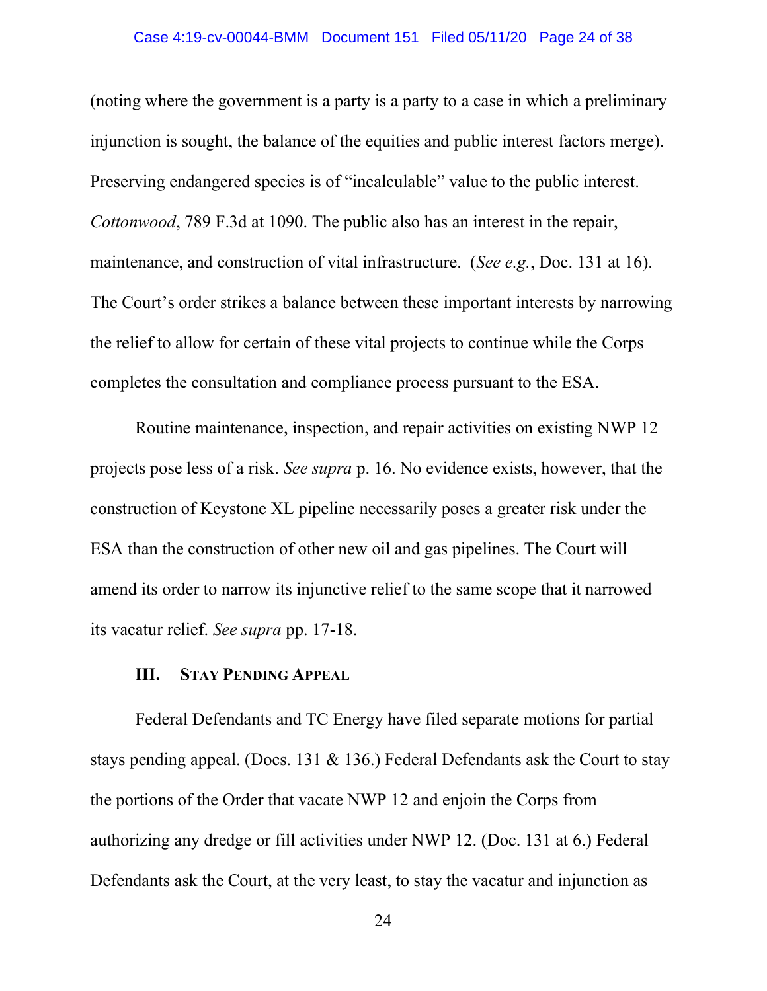#### Case 4:19-cv-00044-BMM Document 151 Filed 05/11/20 Page 24 of 38

(noting where the government is a party is a party to a case in which a preliminary injunction is sought, the balance of the equities and public interest factors merge). Preserving endangered species is of "incalculable" value to the public interest. *Cottonwood*, 789 F.3d at 1090. The public also has an interest in the repair, maintenance, and construction of vital infrastructure. (*See e.g.*, Doc. 131 at 16). The Court's order strikes a balance between these important interests by narrowing the relief to allow for certain of these vital projects to continue while the Corps completes the consultation and compliance process pursuant to the ESA.

Routine maintenance, inspection, and repair activities on existing NWP 12 projects pose less of a risk. *See supra* p. 16. No evidence exists, however, that the construction of Keystone XL pipeline necessarily poses a greater risk under the ESA than the construction of other new oil and gas pipelines. The Court will amend its order to narrow its injunctive relief to the same scope that it narrowed its vacatur relief. *See supra* pp. 17-18.

### **III. STAY PENDING APPEAL**

Federal Defendants and TC Energy have filed separate motions for partial stays pending appeal. (Docs. 131 & 136.) Federal Defendants ask the Court to stay the portions of the Order that vacate NWP 12 and enjoin the Corps from authorizing any dredge or fill activities under NWP 12. (Doc. 131 at 6.) Federal Defendants ask the Court, at the very least, to stay the vacatur and injunction as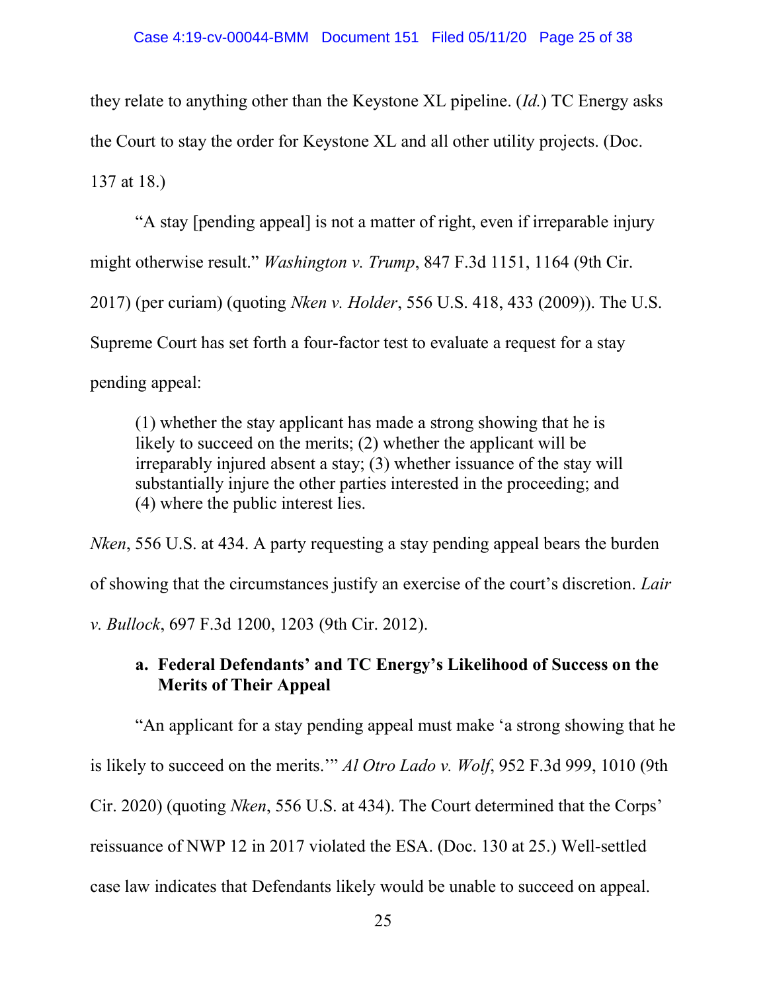they relate to anything other than the Keystone XL pipeline. (*Id.*) TC Energy asks the Court to stay the order for Keystone XL and all other utility projects. (Doc. 137 at 18.)

"A stay [pending appeal] is not a matter of right, even if irreparable injury might otherwise result." *Washington v. Trump*, 847 F.3d 1151, 1164 (9th Cir. 2017) (per curiam) (quoting *Nken v. Holder*, 556 U.S. 418, 433 (2009)). The U.S. Supreme Court has set forth a four-factor test to evaluate a request for a stay pending appeal:

(1) whether the stay applicant has made a strong showing that he is likely to succeed on the merits; (2) whether the applicant will be irreparably injured absent a stay; (3) whether issuance of the stay will substantially injure the other parties interested in the proceeding; and (4) where the public interest lies.

*Nken*, 556 U.S. at 434. A party requesting a stay pending appeal bears the burden of showing that the circumstances justify an exercise of the court's discretion. *Lair v. Bullock*, 697 F.3d 1200, 1203 (9th Cir. 2012).

# **a. Federal Defendants' and TC Energy's Likelihood of Success on the Merits of Their Appeal**

"An applicant for a stay pending appeal must make 'a strong showing that he

is likely to succeed on the merits.'" *Al Otro Lado v. Wolf*, 952 F.3d 999, 1010 (9th

Cir. 2020) (quoting *Nken*, 556 U.S. at 434). The Court determined that the Corps'

reissuance of NWP 12 in 2017 violated the ESA. (Doc. 130 at 25.) Well-settled

case law indicates that Defendants likely would be unable to succeed on appeal.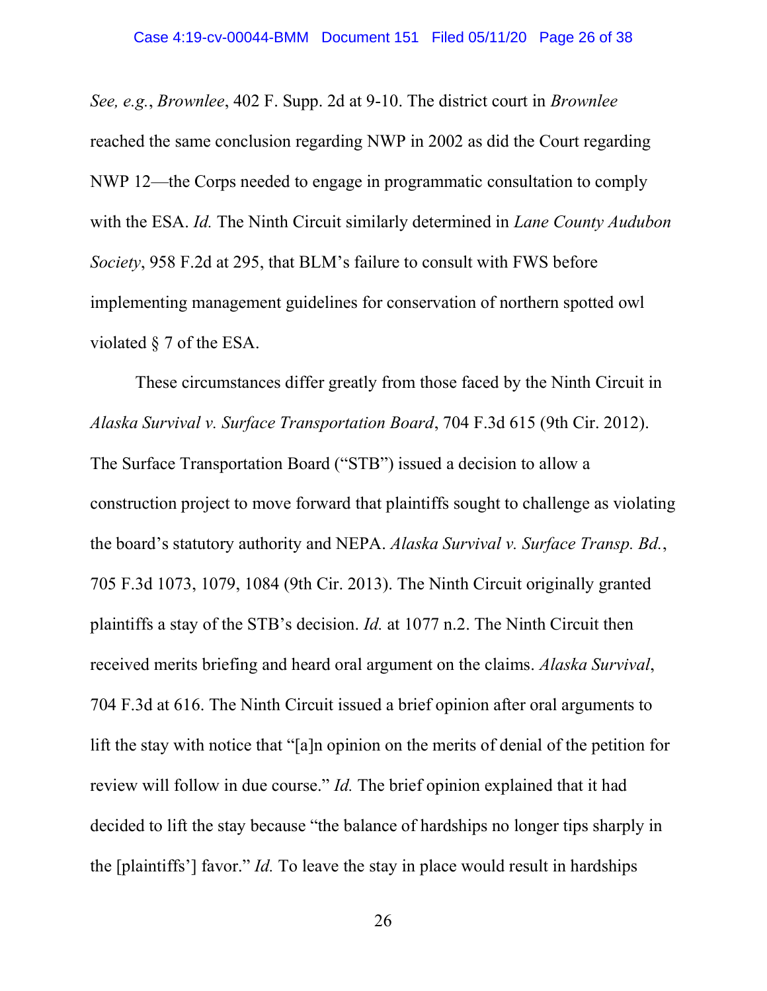*See, e.g.*, *Brownlee*, 402 F. Supp. 2d at 9-10. The district court in *Brownlee* reached the same conclusion regarding NWP in 2002 as did the Court regarding NWP 12—the Corps needed to engage in programmatic consultation to comply with the ESA. *Id.* The Ninth Circuit similarly determined in *Lane County Audubon Society*, 958 F.2d at 295, that BLM's failure to consult with FWS before implementing management guidelines for conservation of northern spotted owl violated § 7 of the ESA.

 These circumstances differ greatly from those faced by the Ninth Circuit in *Alaska Survival v. Surface Transportation Board*, 704 F.3d 615 (9th Cir. 2012). The Surface Transportation Board ("STB") issued a decision to allow a construction project to move forward that plaintiffs sought to challenge as violating the board's statutory authority and NEPA. *Alaska Survival v. Surface Transp. Bd.*, 705 F.3d 1073, 1079, 1084 (9th Cir. 2013). The Ninth Circuit originally granted plaintiffs a stay of the STB's decision. *Id.* at 1077 n.2. The Ninth Circuit then received merits briefing and heard oral argument on the claims. *Alaska Survival*, 704 F.3d at 616. The Ninth Circuit issued a brief opinion after oral arguments to lift the stay with notice that "[a]n opinion on the merits of denial of the petition for review will follow in due course." *Id.* The brief opinion explained that it had decided to lift the stay because "the balance of hardships no longer tips sharply in the [plaintiffs'] favor." *Id.* To leave the stay in place would result in hardships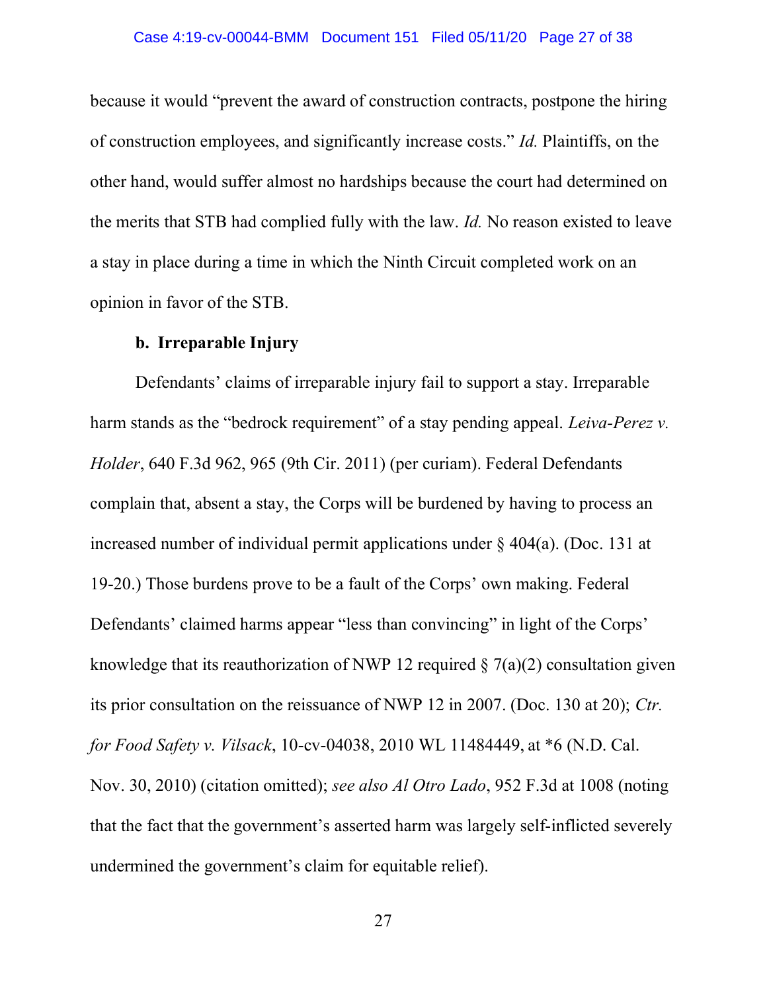because it would "prevent the award of construction contracts, postpone the hiring of construction employees, and significantly increase costs." *Id.* Plaintiffs, on the other hand, would suffer almost no hardships because the court had determined on the merits that STB had complied fully with the law. *Id.* No reason existed to leave a stay in place during a time in which the Ninth Circuit completed work on an opinion in favor of the STB.

### **b. Irreparable Injury**

Defendants' claims of irreparable injury fail to support a stay. Irreparable harm stands as the "bedrock requirement" of a stay pending appeal. *Leiva-Perez v. Holder*, 640 F.3d 962, 965 (9th Cir. 2011) (per curiam). Federal Defendants complain that, absent a stay, the Corps will be burdened by having to process an increased number of individual permit applications under  $\S$  404(a). (Doc. 131 at 19-20.) Those burdens prove to be a fault of the Corps' own making. Federal Defendants' claimed harms appear "less than convincing" in light of the Corps' knowledge that its reauthorization of NWP 12 required  $\S$  7(a)(2) consultation given its prior consultation on the reissuance of NWP 12 in 2007. (Doc. 130 at 20); *Ctr. for Food Safety v. Vilsack*, 10-cv-04038, 2010 WL 11484449, at \*6 (N.D. Cal. Nov. 30, 2010) (citation omitted); *see also Al Otro Lado*, 952 F.3d at 1008 (noting that the fact that the government's asserted harm was largely self-inflicted severely undermined the government's claim for equitable relief).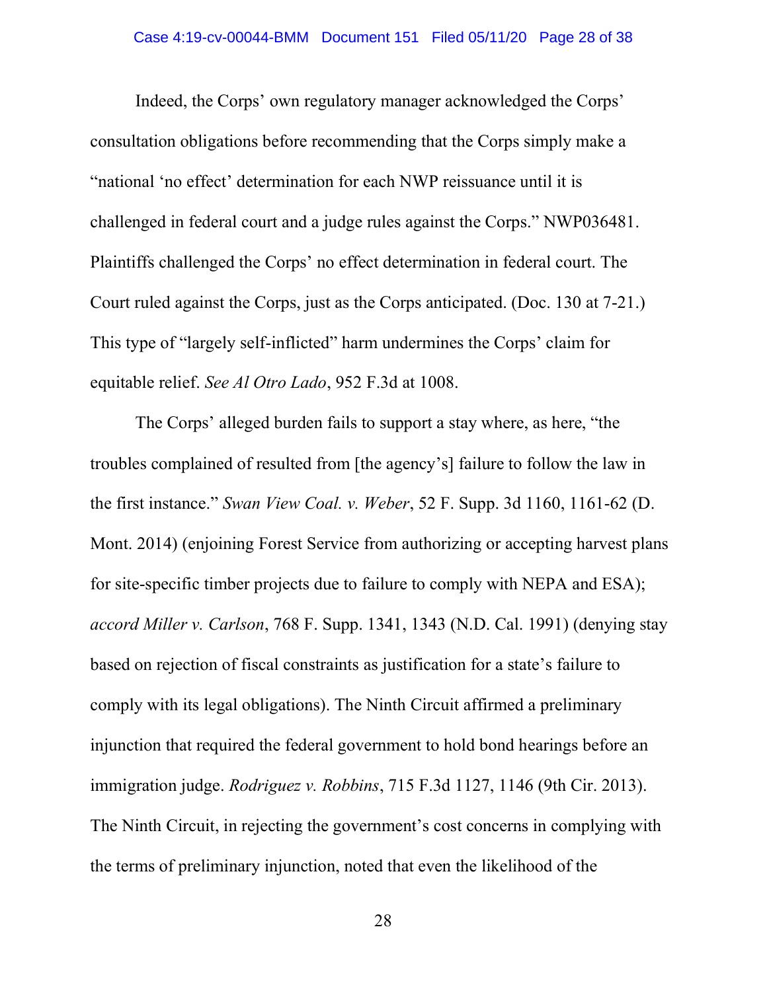Indeed, the Corps' own regulatory manager acknowledged the Corps' consultation obligations before recommending that the Corps simply make a "national 'no effect' determination for each NWP reissuance until it is challenged in federal court and a judge rules against the Corps." NWP036481. Plaintiffs challenged the Corps' no effect determination in federal court. The Court ruled against the Corps, just as the Corps anticipated. (Doc. 130 at 7-21.) This type of "largely self-inflicted" harm undermines the Corps' claim for equitable relief. *See Al Otro Lado*, 952 F.3d at 1008.

The Corps' alleged burden fails to support a stay where, as here, "the troubles complained of resulted from [the agency's] failure to follow the law in the first instance." *Swan View Coal. v. Weber*, 52 F. Supp. 3d 1160, 1161-62 (D. Mont. 2014) (enjoining Forest Service from authorizing or accepting harvest plans for site-specific timber projects due to failure to comply with NEPA and ESA); *accord Miller v. Carlson*, 768 F. Supp. 1341, 1343 (N.D. Cal. 1991) (denying stay based on rejection of fiscal constraints as justification for a state's failure to comply with its legal obligations). The Ninth Circuit affirmed a preliminary injunction that required the federal government to hold bond hearings before an immigration judge. *Rodriguez v. Robbins*, 715 F.3d 1127, 1146 (9th Cir. 2013). The Ninth Circuit, in rejecting the government's cost concerns in complying with the terms of preliminary injunction, noted that even the likelihood of the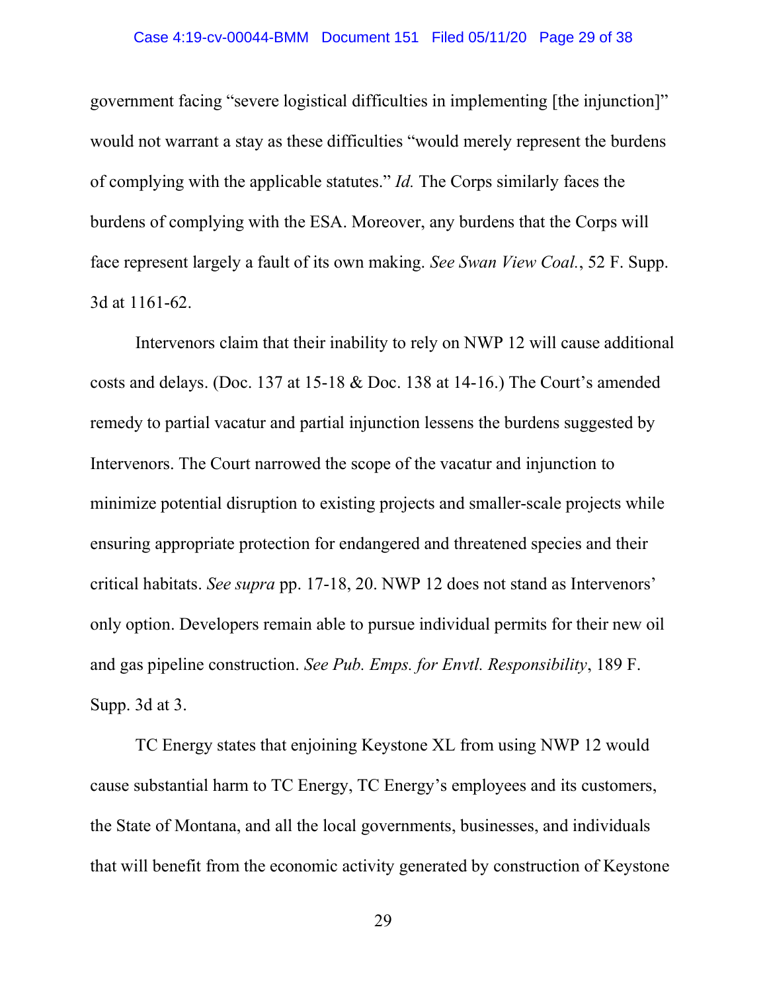#### Case 4:19-cv-00044-BMM Document 151 Filed 05/11/20 Page 29 of 38

government facing "severe logistical difficulties in implementing [the injunction]" would not warrant a stay as these difficulties "would merely represent the burdens of complying with the applicable statutes." *Id.* The Corps similarly faces the burdens of complying with the ESA. Moreover, any burdens that the Corps will face represent largely a fault of its own making. *See Swan View Coal.*, 52 F. Supp. 3d at 1161-62.

Intervenors claim that their inability to rely on NWP 12 will cause additional costs and delays. (Doc. 137 at 15-18 & Doc. 138 at 14-16.) The Court's amended remedy to partial vacatur and partial injunction lessens the burdens suggested by Intervenors. The Court narrowed the scope of the vacatur and injunction to minimize potential disruption to existing projects and smaller-scale projects while ensuring appropriate protection for endangered and threatened species and their critical habitats. *See supra* pp. 17-18, 20. NWP 12 does not stand as Intervenors' only option. Developers remain able to pursue individual permits for their new oil and gas pipeline construction. *See Pub. Emps. for Envtl. Responsibility*, 189 F. Supp. 3d at 3.

TC Energy states that enjoining Keystone XL from using NWP 12 would cause substantial harm to TC Energy, TC Energy's employees and its customers, the State of Montana, and all the local governments, businesses, and individuals that will benefit from the economic activity generated by construction of Keystone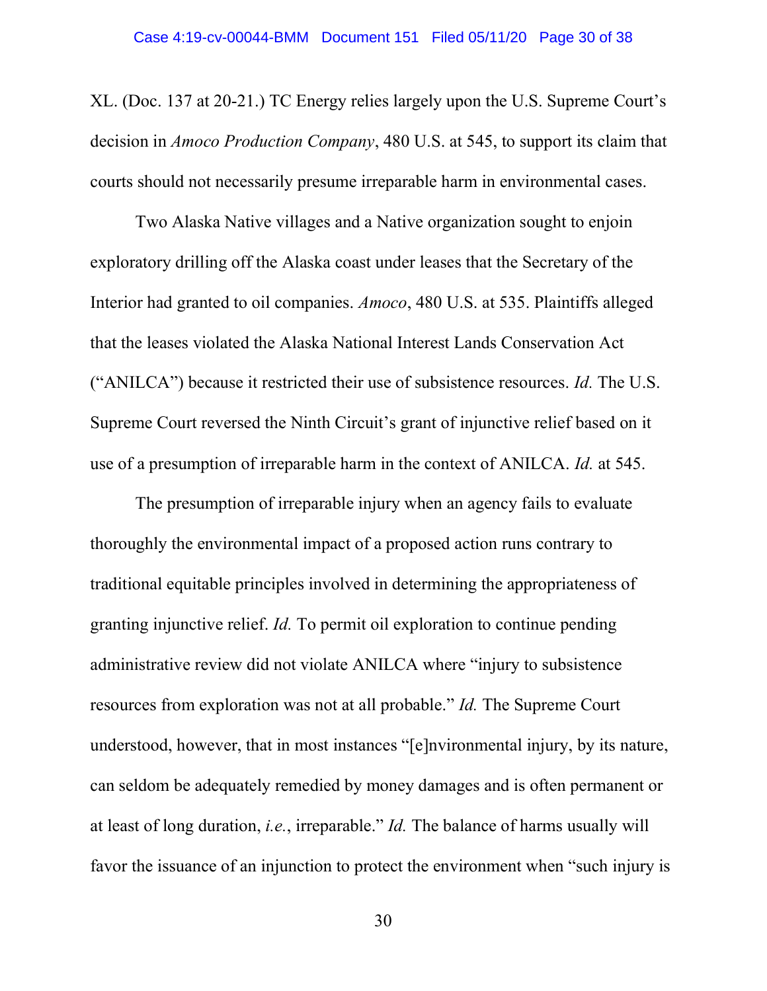XL. (Doc. 137 at 20-21.) TC Energy relies largely upon the U.S. Supreme Court's decision in *Amoco Production Company*, 480 U.S. at 545, to support its claim that courts should not necessarily presume irreparable harm in environmental cases.

Two Alaska Native villages and a Native organization sought to enjoin exploratory drilling off the Alaska coast under leases that the Secretary of the Interior had granted to oil companies. *Amoco*, 480 U.S. at 535. Plaintiffs alleged that the leases violated the Alaska National Interest Lands Conservation Act ("ANILCA") because it restricted their use of subsistence resources. *Id.* The U.S. Supreme Court reversed the Ninth Circuit's grant of injunctive relief based on it use of a presumption of irreparable harm in the context of ANILCA. *Id.* at 545.

The presumption of irreparable injury when an agency fails to evaluate thoroughly the environmental impact of a proposed action runs contrary to traditional equitable principles involved in determining the appropriateness of granting injunctive relief. *Id.* To permit oil exploration to continue pending administrative review did not violate ANILCA where "injury to subsistence resources from exploration was not at all probable." *Id.* The Supreme Court understood, however, that in most instances "[e]nvironmental injury, by its nature, can seldom be adequately remedied by money damages and is often permanent or at least of long duration, *i.e.*, irreparable." *Id.* The balance of harms usually will favor the issuance of an injunction to protect the environment when "such injury is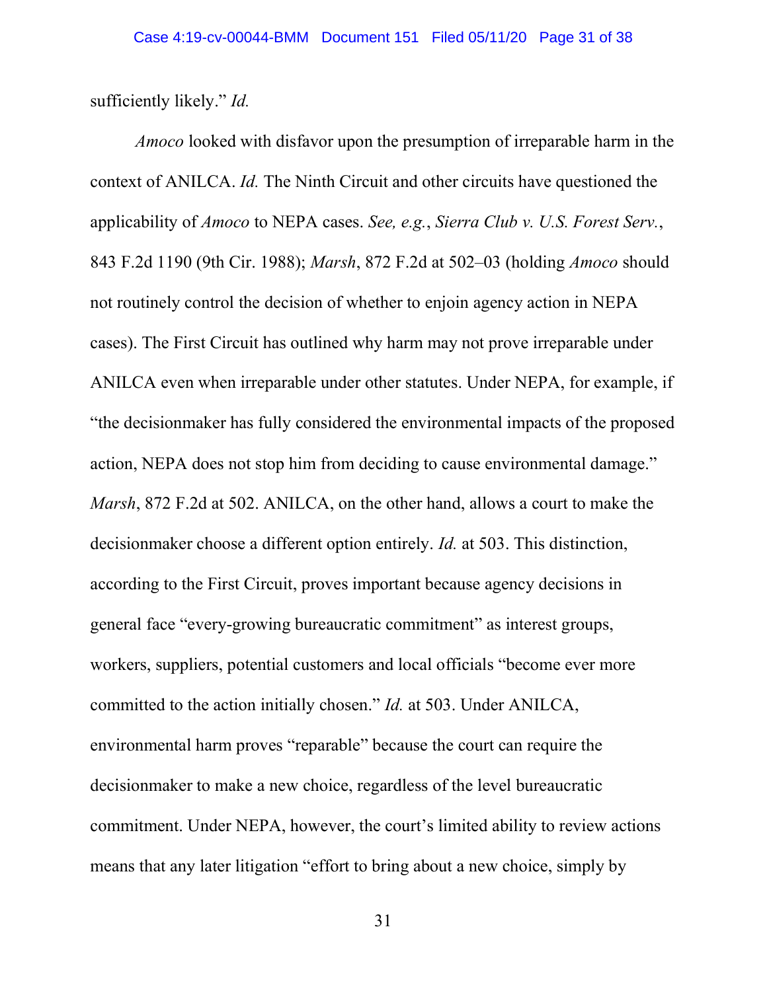sufficiently likely." *Id.*

*Amoco* looked with disfavor upon the presumption of irreparable harm in the context of ANILCA. *Id.* The Ninth Circuit and other circuits have questioned the applicability of *Amoco* to NEPA cases. *See, e.g.*, *Sierra Club v. U.S. Forest Serv.*, 843 F.2d 1190 (9th Cir. 1988); *Marsh*, 872 F.2d at 502–03 (holding *Amoco* should not routinely control the decision of whether to enjoin agency action in NEPA cases). The First Circuit has outlined why harm may not prove irreparable under ANILCA even when irreparable under other statutes. Under NEPA, for example, if "the decisionmaker has fully considered the environmental impacts of the proposed action, NEPA does not stop him from deciding to cause environmental damage." *Marsh*, 872 F.2d at 502. ANILCA, on the other hand, allows a court to make the decisionmaker choose a different option entirely. *Id.* at 503. This distinction, according to the First Circuit, proves important because agency decisions in general face "every-growing bureaucratic commitment" as interest groups, workers, suppliers, potential customers and local officials "become ever more committed to the action initially chosen." *Id.* at 503. Under ANILCA, environmental harm proves "reparable" because the court can require the decisionmaker to make a new choice, regardless of the level bureaucratic commitment. Under NEPA, however, the court's limited ability to review actions means that any later litigation "effort to bring about a new choice, simply by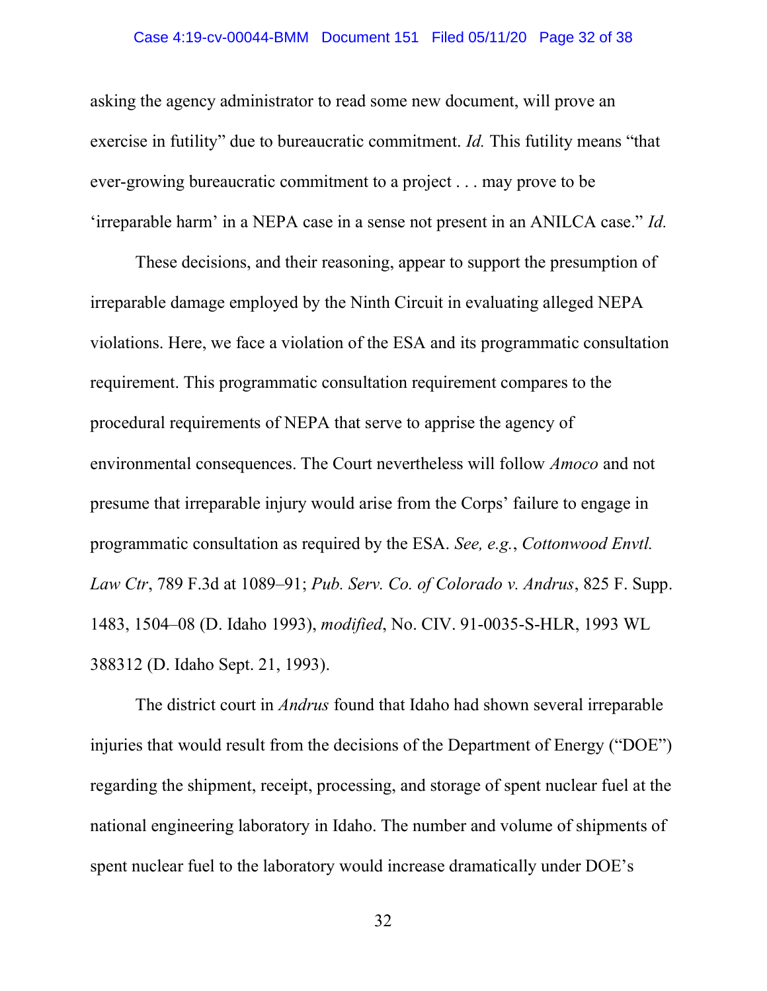#### Case 4:19-cv-00044-BMM Document 151 Filed 05/11/20 Page 32 of 38

asking the agency administrator to read some new document, will prove an exercise in futility" due to bureaucratic commitment. *Id.* This futility means "that ever-growing bureaucratic commitment to a project . . . may prove to be 'irreparable harm' in a NEPA case in a sense not present in an ANILCA case." *Id.*

These decisions, and their reasoning, appear to support the presumption of irreparable damage employed by the Ninth Circuit in evaluating alleged NEPA violations. Here, we face a violation of the ESA and its programmatic consultation requirement. This programmatic consultation requirement compares to the procedural requirements of NEPA that serve to apprise the agency of environmental consequences. The Court nevertheless will follow *Amoco* and not presume that irreparable injury would arise from the Corps' failure to engage in programmatic consultation as required by the ESA. *See, e.g.*, *Cottonwood Envtl. Law Ctr*, 789 F.3d at 1089–91; *Pub. Serv. Co. of Colorado v. Andrus*, 825 F. Supp. 1483, 1504–08 (D. Idaho 1993), *modified*, No. CIV. 91-0035-S-HLR, 1993 WL 388312 (D. Idaho Sept. 21, 1993).

 The district court in *Andrus* found that Idaho had shown several irreparable injuries that would result from the decisions of the Department of Energy ("DOE") regarding the shipment, receipt, processing, and storage of spent nuclear fuel at the national engineering laboratory in Idaho. The number and volume of shipments of spent nuclear fuel to the laboratory would increase dramatically under DOE's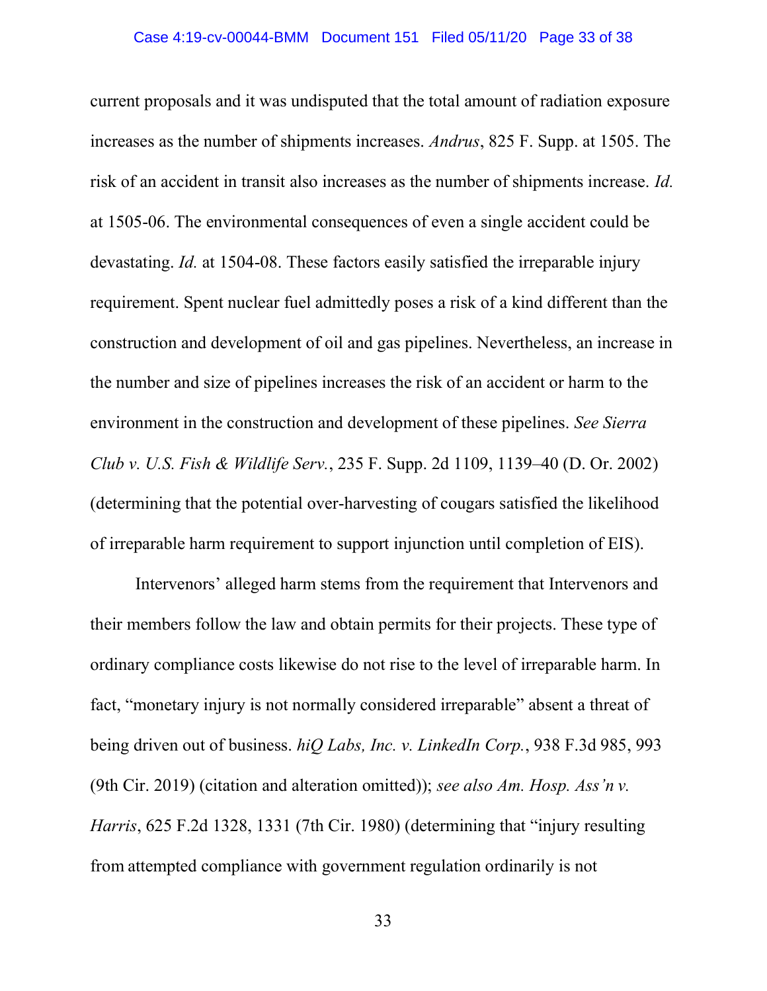current proposals and it was undisputed that the total amount of radiation exposure increases as the number of shipments increases. *Andrus*, 825 F. Supp. at 1505. The risk of an accident in transit also increases as the number of shipments increase. *Id.* at 1505-06. The environmental consequences of even a single accident could be devastating. *Id.* at 1504-08. These factors easily satisfied the irreparable injury requirement. Spent nuclear fuel admittedly poses a risk of a kind different than the construction and development of oil and gas pipelines. Nevertheless, an increase in the number and size of pipelines increases the risk of an accident or harm to the environment in the construction and development of these pipelines. *See Sierra Club v. U.S. Fish & Wildlife Serv.*, 235 F. Supp. 2d 1109, 1139–40 (D. Or. 2002) (determining that the potential over-harvesting of cougars satisfied the likelihood of irreparable harm requirement to support injunction until completion of EIS).

Intervenors' alleged harm stems from the requirement that Intervenors and their members follow the law and obtain permits for their projects. These type of ordinary compliance costs likewise do not rise to the level of irreparable harm. In fact, "monetary injury is not normally considered irreparable" absent a threat of being driven out of business. *hiQ Labs, Inc. v. LinkedIn Corp.*, 938 F.3d 985, 993 (9th Cir. 2019) (citation and alteration omitted)); *see also Am. Hosp. Ass'n v. Harris*, 625 F.2d 1328, 1331 (7th Cir. 1980) (determining that "injury resulting from attempted compliance with government regulation ordinarily is not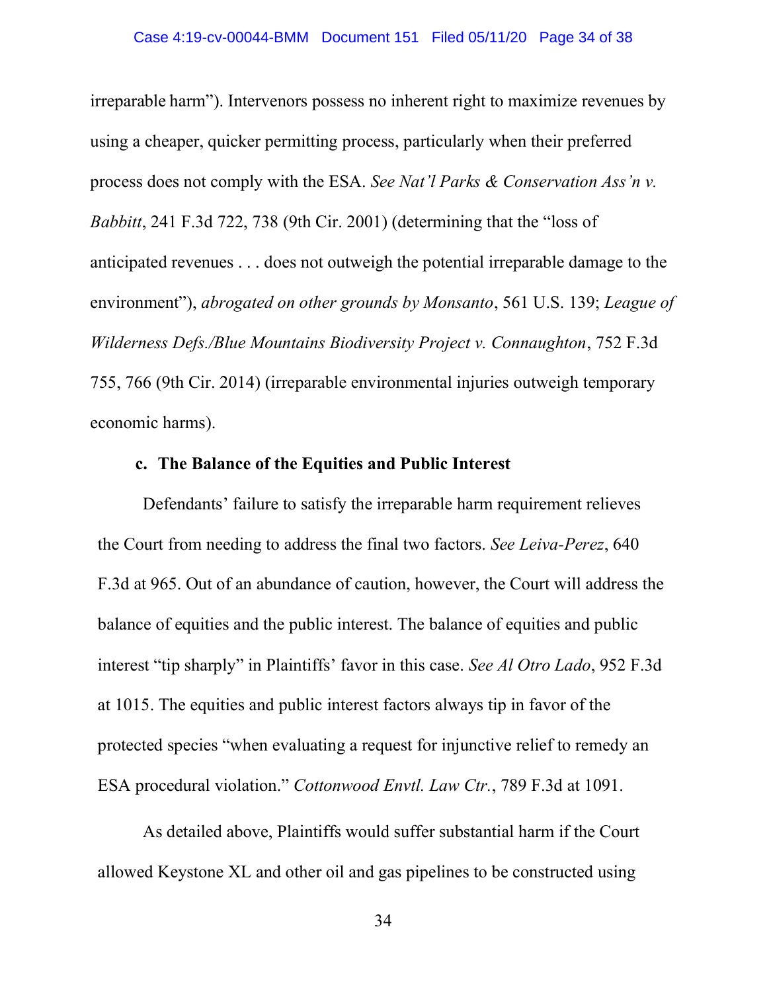irreparable harm"). Intervenors possess no inherent right to maximize revenues by using a cheaper, quicker permitting process, particularly when their preferred process does not comply with the ESA. *See Nat'l Parks & Conservation Ass'n v. Babbitt*, 241 F.3d 722, 738 (9th Cir. 2001) (determining that the "loss of anticipated revenues . . . does not outweigh the potential irreparable damage to the environment"), *abrogated on other grounds by Monsanto*, 561 U.S. 139; *League of Wilderness Defs./Blue Mountains Biodiversity Project v. Connaughton*, 752 F.3d 755, 766 (9th Cir. 2014) (irreparable environmental injuries outweigh temporary economic harms).

## **c. The Balance of the Equities and Public Interest**

Defendants' failure to satisfy the irreparable harm requirement relieves the Court from needing to address the final two factors. *See Leiva-Perez*, 640 F.3d at 965. Out of an abundance of caution, however, the Court will address the balance of equities and the public interest. The balance of equities and public interest "tip sharply" in Plaintiffs' favor in this case. *See Al Otro Lado*, 952 F.3d at 1015. The equities and public interest factors always tip in favor of the protected species "when evaluating a request for injunctive relief to remedy an ESA procedural violation." *Cottonwood Envtl. Law Ctr.*, 789 F.3d at 1091.

As detailed above, Plaintiffs would suffer substantial harm if the Court allowed Keystone XL and other oil and gas pipelines to be constructed using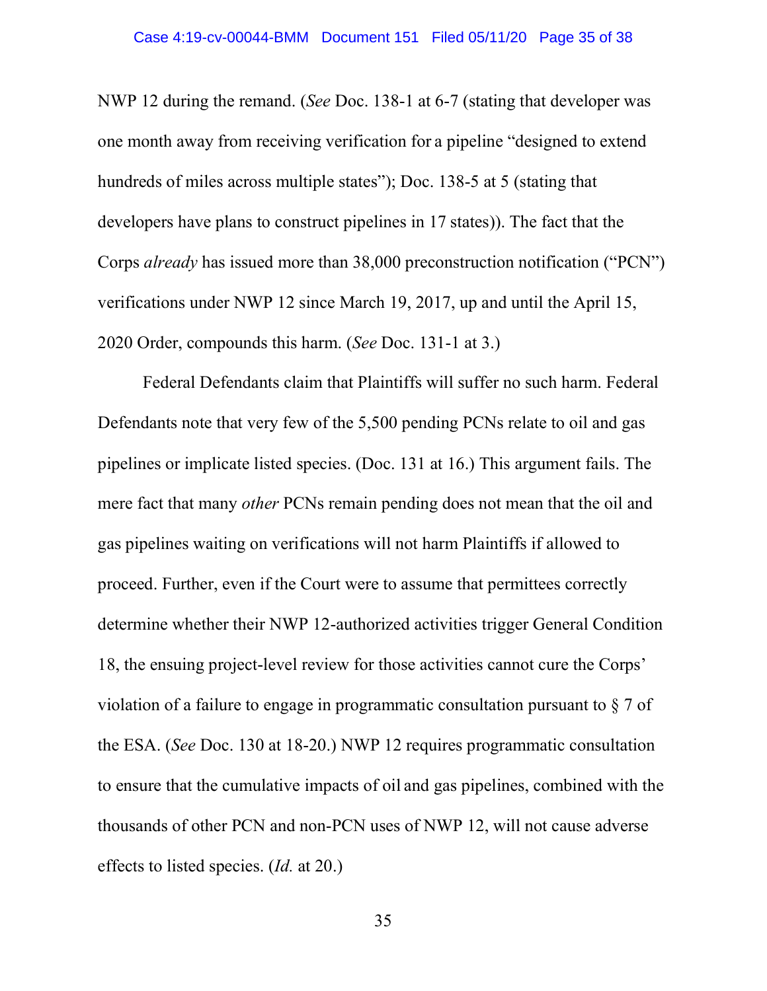NWP 12 during the remand. (*See* Doc. 138-1 at 6-7 (stating that developer was one month away from receiving verification for a pipeline "designed to extend hundreds of miles across multiple states"); Doc. 138-5 at 5 (stating that developers have plans to construct pipelines in 17 states)). The fact that the Corps *already* has issued more than 38,000 preconstruction notification ("PCN") verifications under NWP 12 since March 19, 2017, up and until the April 15, 2020 Order, compounds this harm. (*See* Doc. 131-1 at 3.)

Federal Defendants claim that Plaintiffs will suffer no such harm. Federal Defendants note that very few of the 5,500 pending PCNs relate to oil and gas pipelines or implicate listed species. (Doc. 131 at 16.) This argument fails. The mere fact that many *other* PCNs remain pending does not mean that the oil and gas pipelines waiting on verifications will not harm Plaintiffs if allowed to proceed. Further, even if the Court were to assume that permittees correctly determine whether their NWP 12-authorized activities trigger General Condition 18, the ensuing project-level review for those activities cannot cure the Corps' violation of a failure to engage in programmatic consultation pursuant to § 7 of the ESA. (*See* Doc. 130 at 18-20.) NWP 12 requires programmatic consultation to ensure that the cumulative impacts of oil and gas pipelines, combined with the thousands of other PCN and non-PCN uses of NWP 12, will not cause adverse effects to listed species. (*Id.* at 20.)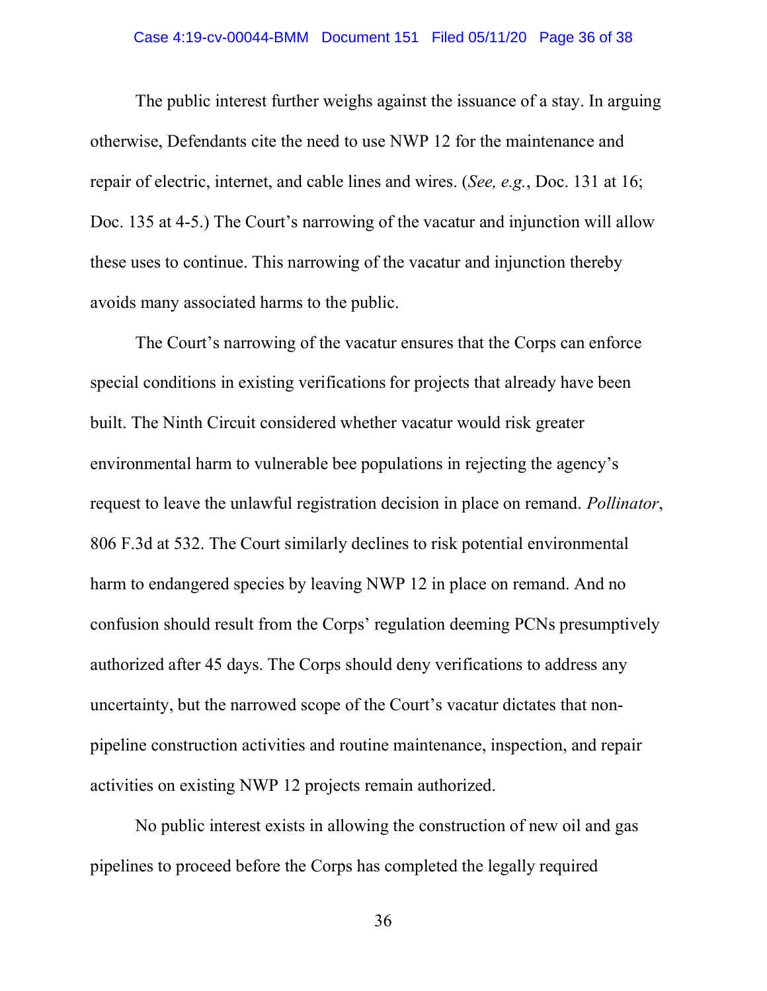#### Case 4:19-cv-00044-BMM Document 151 Filed 05/11/20 Page 36 of 38

The public interest further weighs against the issuance of a stay. In arguing otherwise, Defendants cite the need to use NWP 12 for the maintenance and repair of electric, internet, and cable lines and wires. (*See, e.g.*, Doc. 131 at 16; Doc. 135 at 4-5.) The Court's narrowing of the vacatur and injunction will allow these uses to continue. This narrowing of the vacatur and injunction thereby avoids many associated harms to the public.

The Court's narrowing of the vacatur ensures that the Corps can enforce special conditions in existing verifications for projects that already have been built. The Ninth Circuit considered whether vacatur would risk greater environmental harm to vulnerable bee populations in rejecting the agency's request to leave the unlawful registration decision in place on remand. *Pollinator*, 806 F.3d at 532. The Court similarly declines to risk potential environmental harm to endangered species by leaving NWP 12 in place on remand. And no confusion should result from the Corps' regulation deeming PCNs presumptively authorized after 45 days. The Corps should deny verifications to address any uncertainty, but the narrowed scope of the Court's vacatur dictates that nonpipeline construction activities and routine maintenance, inspection, and repair activities on existing NWP 12 projects remain authorized.

No public interest exists in allowing the construction of new oil and gas pipelines to proceed before the Corps has completed the legally required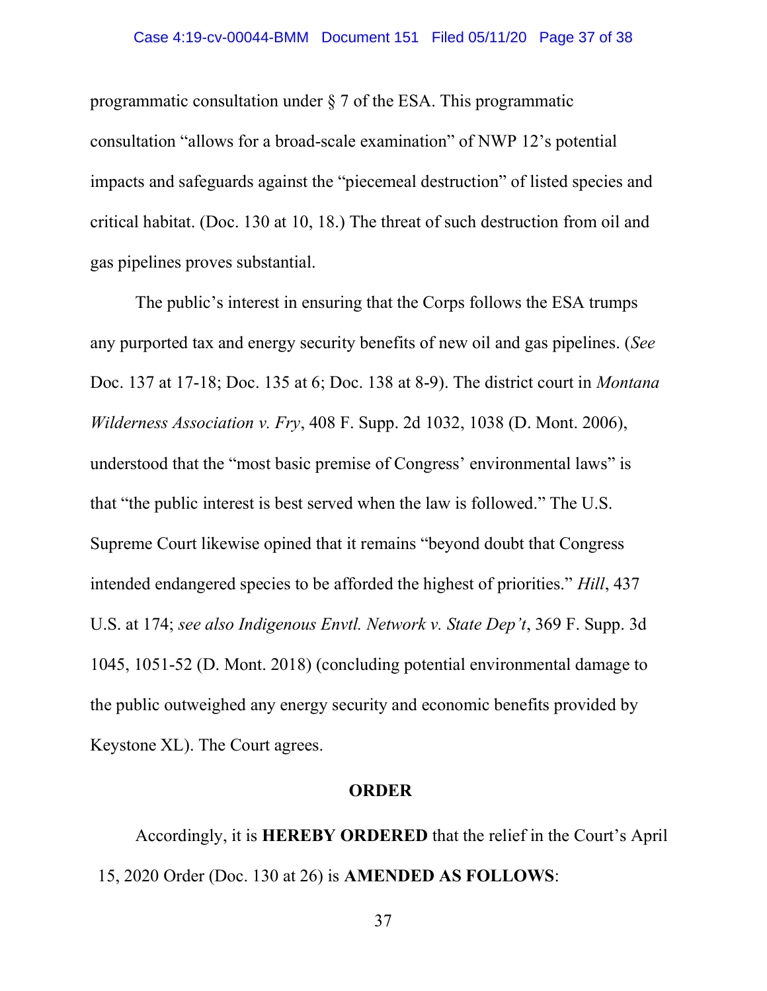programmatic consultation under § 7 of the ESA. This programmatic consultation "allows for a broad-scale examination" of NWP 12's potential impacts and safeguards against the "piecemeal destruction" of listed species and critical habitat. (Doc. 130 at 10, 18.) The threat of such destruction from oil and gas pipelines proves substantial.

The public's interest in ensuring that the Corps follows the ESA trumps any purported tax and energy security benefits of new oil and gas pipelines. (*See* Doc. 137 at 17-18; Doc. 135 at 6; Doc. 138 at 8-9). The district court in *Montana Wilderness Association v. Fry*, 408 F. Supp. 2d 1032, 1038 (D. Mont. 2006), understood that the "most basic premise of Congress' environmental laws" is that "the public interest is best served when the law is followed." The U.S. Supreme Court likewise opined that it remains "beyond doubt that Congress intended endangered species to be afforded the highest of priorities." *Hill*, 437 U.S. at 174; *see also Indigenous Envtl. Network v. State Dep't*, 369 F. Supp. 3d 1045, 1051-52 (D. Mont. 2018) (concluding potential environmental damage to the public outweighed any energy security and economic benefits provided by Keystone XL). The Court agrees.

### **ORDER**

Accordingly, it is **HEREBY ORDERED** that the relief in the Court's April 15, 2020 Order (Doc. 130 at 26) is **AMENDED AS FOLLOWS**: